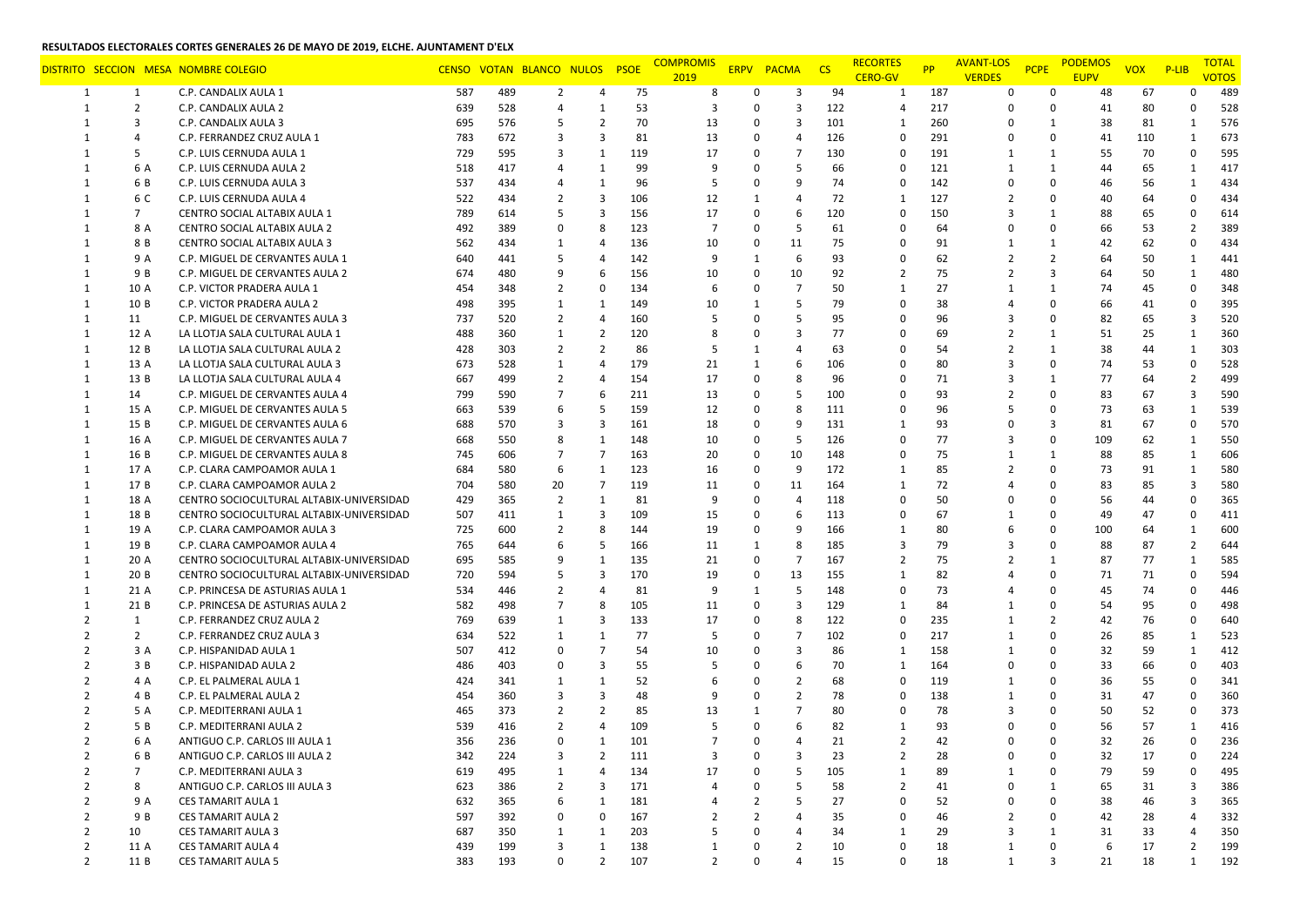|                |                | DISTRITO SECCION MESA NOMBRE COLEGIO     |     |     | CENSO VOTAN BLANCO NULOS |                | <b>PSOE</b> | <b>COMPROMIS</b><br>2019 |                | ERPV PACMA CS  |     | <b>RECORTES</b><br><b>CERO-GV</b> | <b>PP</b> | <b>AVANT-LOS</b><br><b>VERDES</b> | <b>PCPE</b>    | <b>PODEMOS</b><br><b>EUPV</b> | <b>VOX</b> | $P-LIB$      | <b>TOTAL</b><br><b>VOTOS</b> |
|----------------|----------------|------------------------------------------|-----|-----|--------------------------|----------------|-------------|--------------------------|----------------|----------------|-----|-----------------------------------|-----------|-----------------------------------|----------------|-------------------------------|------------|--------------|------------------------------|
| 1              | 1              | C.P. CANDALIX AULA 1                     | 587 | 489 | $\overline{2}$           | 4              | 75          | 8                        | 0              | 3              | 94  | 1                                 | 187       | 0                                 | 0              | 48                            | 67         | O            | 489                          |
| 1              | $\overline{2}$ | C.P. CANDALIX AULA 2                     | 639 | 528 | $\overline{4}$           | -1             | 53          | 3                        | 0              | 3              | 122 | $\overline{4}$                    | 217       | $\Omega$                          | $\mathbf 0$    | 41                            | 80         | $\Omega$     | 528                          |
| -1             | 3              | C.P. CANDALIX AULA 3                     | 695 | 576 | 5                        | $\overline{2}$ | 70          | 13                       | 0              | 3              | 101 | 1                                 | 260       | $\Omega$                          | $\mathbf{1}$   | 38                            | 81         | 1            | 576                          |
| -1             | $\overline{4}$ | C.P. FERRANDEZ CRUZ AULA 1               | 783 | 672 | 3                        | 3              | 81          | 13                       | 0              | $\overline{4}$ | 126 | $\mathbf 0$                       | 291       | 0                                 | $\mathbf 0$    | 41                            | 110        | $\mathbf{1}$ | 673                          |
| 1              | 5              | C.P. LUIS CERNUDA AULA 1                 | 729 | 595 | 3                        | $\mathbf{1}$   | 119         | 17                       | 0              | $\overline{7}$ | 130 | $\Omega$                          | 191       | 1                                 | 1              | 55                            | 70         | 0            | 595                          |
|                | 6 A            | C.P. LUIS CERNUDA AULA 2                 | 518 | 417 | $\overline{4}$           | $\mathbf{1}$   | 99          |                          | 0              | 5              | 66  | $\Omega$                          | 121       | 1                                 | $\mathbf{1}$   | 44                            | 65         | 1            | 417                          |
| 1              | 6 B            | C.P. LUIS CERNUDA AULA 3                 | 537 | 434 | 4                        | $\mathbf{1}$   | 96          | 5                        | 0              | 9              | 74  | $\mathbf 0$                       | 142       | $\mathbf 0$                       | $\Omega$       | 46                            | 56         | 1            | 434                          |
| -1             | 6 C            | C.P. LUIS CERNUDA AULA 4                 | 522 | 434 | $\overline{2}$           | 3              | 106         | 12                       | $\mathbf{1}$   | $\overline{4}$ | 72  | 1                                 | 127       | 2                                 | 0              | 40                            | 64         | $\Omega$     | 434                          |
| $\mathbf{1}$   | $\overline{7}$ | CENTRO SOCIAL ALTABIX AULA 1             | 789 | 614 | 5                        | 3              | 156         | 17                       | 0              | 6              | 120 | $\mathbf 0$                       | 150       | 3                                 | $\mathbf{1}$   | 88                            | 65         | $\Omega$     | 614                          |
| -1             | 8 A            | <b>CENTRO SOCIAL ALTABIX AULA 2</b>      | 492 | 389 | 0                        | 8              | 123         | $\overline{7}$           | 0              | 5              | 61  | $\Omega$                          | 64        | $\Omega$                          | $\Omega$       | 66                            | 53         | 2            | 389                          |
|                | 8 B            | CENTRO SOCIAL ALTABIX AULA 3             | 562 | 434 | 1                        | 4              | 136         | 10                       | $\Omega$       | 11             | 75  | $\Omega$                          | 91        | 1                                 | 1              | 42                            | 62         | $\Omega$     | 434                          |
|                | 9 A            | C.P. MIGUEL DE CERVANTES AULA 1          | 640 | 441 | 5                        | 4              | 142         | 9                        | 1              | 6              | 93  | 0                                 | 62        | 2                                 | $\overline{2}$ | 64                            | 50         | 1            | 441                          |
| 1              | 9 B            | C.P. MIGUEL DE CERVANTES AULA 2          | 674 | 480 | 9                        | 6              | 156         | 10                       | 0              | 10             | 92  | 2                                 | 75        | 2                                 | 3              | 64                            | 50         | 1            | 480                          |
|                | 10 A           | C.P. VICTOR PRADERA AULA 1               | 454 | 348 | $\overline{2}$           | 0              | 134         |                          | 0              | $\overline{7}$ | 50  | $\mathbf{1}$                      | 27        | 1                                 | $\mathbf{1}$   | 74                            | 45         | $\Omega$     | 348                          |
| 1              | 10 B           | C.P. VICTOR PRADERA AULA 2               | 498 | 395 | 1                        | 1              | 149         | 10                       | 1              | 5              | 79  | $\Omega$                          | 38        | $\overline{a}$                    | $\Omega$       | 66                            | 41         | $\Omega$     | 395                          |
| $\mathbf{1}$   | 11             | C.P. MIGUEL DE CERVANTES AULA 3          | 737 | 520 | $\overline{2}$           | $\overline{4}$ | 160         |                          | 0              | .5             | 95  | $\Omega$                          | 96        | 3                                 | $\mathbf 0$    | 82                            | 65         | 3            | 520                          |
| 1              | 12 A           | LA LLOTJA SALA CULTURAL AULA 1           | 488 | 360 | 1                        | $\overline{2}$ | 120         |                          | 0              | 3              | 77  | $\Omega$                          | 69        | $\overline{2}$                    | $\mathbf{1}$   | 51                            | 25         | 1            | 360                          |
| $\mathbf{1}$   | 12 B           | LA LLOTJA SALA CULTURAL AULA 2           | 428 | 303 | $\overline{2}$           | $\overline{2}$ | 86          |                          | 1              | $\overline{4}$ | 63  | $\Omega$                          | 54        | $\overline{2}$                    | $\mathbf{1}$   | 38                            | 44         | 1            | 303                          |
| -1             | 13 A           | LA LLOTJA SALA CULTURAL AULA 3           | 673 | 528 | 1                        | 4              | 179         | 21                       | 1              | 6              | 106 | $\Omega$                          | 80        | 3                                 | $\Omega$       | 74                            | 53         | $\Omega$     | 528                          |
| -1             | 13 B           | LA LLOTJA SALA CULTURAL AULA 4           | 667 | 499 | 2                        | 4              | 154         | 17                       | 0              | 8              | 96  | 0                                 | 71        | 3                                 | $\mathbf{1}$   | 77                            | 64         | 2            | 499                          |
| 1              | 14             | C.P. MIGUEL DE CERVANTES AULA 4          | 799 | 590 | $\overline{7}$           | 6              | 211         | 13                       | 0              | .5             | 100 | $\Omega$                          | 93        | $\overline{2}$                    | $\mathbf 0$    | 83                            | 67         | 3            | 590                          |
| $\mathbf{1}$   | 15 A           | C.P. MIGUEL DE CERVANTES AULA 5          | 663 | 539 | 6                        | 5              | 159         | 12                       | 0              | 8              | 111 | $\Omega$                          | 96        | .5                                | 0              | 73                            | 63         | $\mathbf{1}$ | 539                          |
| 1              | 15 B           | C.P. MIGUEL DE CERVANTES AULA 6          | 688 | 570 | 3                        | 3              | 161         | 18                       | 0              | 9              | 131 | 1                                 | 93        | $\Omega$                          | 3              | 81                            | 67         | 0            | 570                          |
| -1             | 16 A           | C.P. MIGUEL DE CERVANTES AULA 7          | 668 | 550 | 8                        | 1              | 148         | 10                       | 0              | 5              | 126 | 0                                 | 77        | 3                                 | 0              | 109                           | 62         | 1            | 550                          |
| $\mathbf{1}$   | 16 B           | C.P. MIGUEL DE CERVANTES AULA 8          | 745 | 606 | $\overline{7}$           | 7              | 163         | 20                       | 0              | 10             | 148 | $\mathbf 0$                       | 75        | 1                                 | $\mathbf{1}$   | 88                            | 85         | 1            | 606                          |
| $\mathbf{1}$   | 17 A           | C.P. CLARA CAMPOAMOR AULA 1              | 684 | 580 | 6                        | 1              | 123         | 16                       | 0              | 9              | 172 | 1                                 | 85        | $\overline{2}$                    | 0              | 73                            | 91         | $\mathbf{1}$ | 580                          |
| $\mathbf{1}$   | 17 B           | C.P. CLARA CAMPOAMOR AULA 2              | 704 | 580 | 20                       | $\overline{7}$ | 119         | 11                       | 0              | 11             | 164 | 1                                 | 72        | 4                                 | $\Omega$       | 83                            | 85         | 3            | 580                          |
| $\mathbf{1}$   | 18 A           | CENTRO SOCIOCULTURAL ALTABIX-UNIVERSIDAD | 429 | 365 | $\overline{2}$           | $\mathbf{1}$   | 81          | 9                        | 0              | $\overline{4}$ | 118 | 0                                 | 50        | $\Omega$                          | $\mathbf 0$    | 56                            | 44         | $\Omega$     | 365                          |
| 1              | 18 B           | CENTRO SOCIOCULTURAL ALTABIX-UNIVERSIDAD | 507 | 411 | 1                        | 3              | 109         | 15                       | 0              | 6              | 113 | 0                                 | 67        | 1                                 | 0              | 49                            | 47         | 0            | 411                          |
| -1             | 19 A           | C.P. CLARA CAMPOAMOR AULA 3              | 725 | 600 | 2                        | 8              | 144         | 19                       | 0              | 9              | 166 | 1                                 | 80        | 6                                 | 0              | 100                           | 64         | $\mathbf{1}$ | 600                          |
| -1             | 19 B           | C.P. CLARA CAMPOAMOR AULA 4              | 765 | 644 | 6                        | 5              | 166         | 11                       | 1              | 8              | 185 | 3                                 | 79        | 3                                 | $\Omega$       | 88                            | 87         | 2            | 644                          |
| -1             | 20 A           | CENTRO SOCIOCULTURAL ALTABIX-UNIVERSIDAD | 695 | 585 | 9                        | 1              | 135         | 21                       | 0              | $\overline{7}$ | 167 | $\overline{2}$                    | 75        | 2                                 | $\mathbf{1}$   | 87                            | 77         | 1            | 585                          |
| 1              | 20 B           | CENTRO SOCIOCULTURAL ALTABIX-UNIVERSIDAD | 720 | 594 | 5                        | 3              | 170         | 19                       | 0              | 13             | 155 | 1                                 | 82        | 4                                 | $\mathbf 0$    | 71                            | 71         | $\Omega$     | 594                          |
| -1             | 21 A           | C.P. PRINCESA DE ASTURIAS AULA 1         | 534 | 446 | $\overline{2}$           | $\overline{4}$ | 81          | 9                        | $\mathbf{1}$   | 5              | 148 | $\mathbf 0$                       | 73        | 4                                 | 0              | 45                            | 74         | 0            | 446                          |
|                | 21 B           | C.P. PRINCESA DE ASTURIAS AULA 2         | 582 | 498 | $\overline{7}$           | 8              | 105         | 11                       | 0              | 3              | 129 | 1                                 | 84        | 1                                 | 0              | 54                            | 95         | $\Omega$     | 498                          |
| 2              | 1              | C.P. FERRANDEZ CRUZ AULA 2               | 769 | 639 | 1                        | 3              | 133         | 17                       | 0              | 8              | 122 | $\Omega$                          | 235       | 1                                 | $\overline{2}$ | 42                            | 76         | 0            | 640                          |
| $\mathcal{L}$  | $\overline{2}$ | C.P. FERRANDEZ CRUZ AULA 3               | 634 | 522 | 1                        | 1              | 77          | .5                       | 0              | $\overline{7}$ | 102 | $\Omega$                          | 217       | 1                                 | $\mathbf 0$    | 26                            | 85         | 1            | 523                          |
| $\mathcal{P}$  | 3 A            | C.P. HISPANIDAD AULA 1                   | 507 | 412 | 0                        | $\overline{7}$ | 54          | 10                       | 0              | 3              | 86  | 1                                 | 158       | 1                                 | $\Omega$       | 32                            | 59         | $\mathbf{1}$ | 412                          |
|                | 3 B            | C.P. HISPANIDAD AULA 2                   | 486 | 403 | 0                        | 3              | 55          |                          | 0              | 6              | 70  | $\mathbf{1}$                      | 164       | $\mathbf 0$                       | $\Omega$       | 33                            | 66         | $\Omega$     | 403                          |
|                | 4 A            | C.P. EL PALMERAL AULA 1                  | 424 | 341 | 1                        | 1              | 52          |                          | 0              | $\overline{2}$ | 68  | $\Omega$                          | 119       | 1                                 | $\Omega$       | 36                            | 55         | $\Omega$     | 341                          |
|                | 4 B            | C.P. EL PALMERAL AULA 2                  | 454 | 360 | 3                        | 3              | 48          |                          | 0              | $\overline{2}$ | 78  | $\mathbf 0$                       | 138       | 1                                 | 0              | 31                            | 47         | $\Omega$     | 360                          |
|                | 5 A            | C.P. MEDITERRANI AULA 1                  | 465 | 373 | $\overline{2}$           | 2              | 85          | 13                       |                | $\overline{7}$ | 80  | $\Omega$                          | 78        | 3                                 | 0              | 50                            | 52         | $\Omega$     | 373                          |
|                | 5 B            | C.P. MEDITERRANI AULA 2                  | 539 | 416 | $\overline{2}$           | 4              | 109         |                          |                | 6              | 82  | $\mathbf{1}$                      | 93        | 0                                 | $\Omega$       | 56                            | 57         | 1            | 416                          |
| $\overline{2}$ | 6 A            | ANTIGUO C.P. CARLOS III AULA 1           | 356 | 236 | $\Omega$                 | 1              | 101         | $\overline{7}$           | 0              | $\overline{a}$ | 21  | $\overline{2}$                    | 42        | $\Omega$                          | $\Omega$       | 32                            | 26         | $\Omega$     | 236                          |
| $\overline{2}$ | 6 B            | ANTIGUO C.P. CARLOS III AULA 2           | 342 | 224 | 3                        | 2              | 111         | 3                        | 0              | 3              | 23  | $\overline{2}$                    | 28        | 0                                 | 0              | 32                            | 17         | $\Omega$     | 224                          |
| $\overline{2}$ | $\overline{7}$ | C.P. MEDITERRANI AULA 3                  | 619 | 495 | $\mathbf{1}$             | 4              | 134         | 17                       | 0              | 5              | 105 | $\mathbf{1}$                      | 89        | 1                                 | $\mathbf 0$    | 79                            | 59         | ŋ            | 495                          |
| $\overline{2}$ | 8              | ANTIGUO C.P. CARLOS III AULA 3           | 623 | 386 | $\overline{2}$           | 3              | 171         | $\overline{a}$           | 0              | 5              | 58  | 2                                 | 41        | $\mathbf 0$                       | $\mathbf{1}$   | 65                            | 31         |              | 386                          |
| $\overline{2}$ | 9 A            | <b>CES TAMARIT AULA 1</b>                | 632 | 365 | 6                        | $\mathbf{1}$   | 181         |                          | $\overline{2}$ | 5              | 27  | $\mathbf 0$                       | 52        | $\mathbf 0$                       | $\mathbf 0$    | 38                            | 46         | 3            | 365                          |
| $\overline{2}$ | 9 B            | <b>CES TAMARIT AULA 2</b>                | 597 | 392 | 0                        | 0              | 167         | $\overline{2}$           | $\overline{2}$ | $\overline{4}$ | 35  | 0                                 | 46        | $\overline{2}$                    | $\mathbf 0$    | 42                            | 28         | 4            | 332                          |
| $\overline{2}$ | 10             | <b>CES TAMARIT AULA 3</b>                | 687 | 350 | 1                        | 1              | 203         | 5                        | 0              | 4              | 34  | 1                                 | 29        | 3                                 | $\mathbf{1}$   | 31                            | 33         | 4            | 350                          |
| $\overline{2}$ | 11 A           | <b>CES TAMARIT AULA 4</b>                | 439 | 199 | 3                        | $\mathbf{1}$   | 138         | 1                        |                | $\overline{2}$ | 10  | $\mathbf 0$                       | 18        | 1                                 | 0              | 6                             | 17         | 2            | 199                          |
| $\overline{2}$ | 11 B           | <b>CES TAMARIT AULA 5</b>                | 383 | 193 | $\mathbf 0$              | $\overline{2}$ | 107         | $\overline{2}$           | 0              | $\overline{4}$ | 15  | $\mathbf 0$                       | 18        | $\mathbf{1}$                      | 3              | 21                            | 18         | $\mathbf{1}$ | 192                          |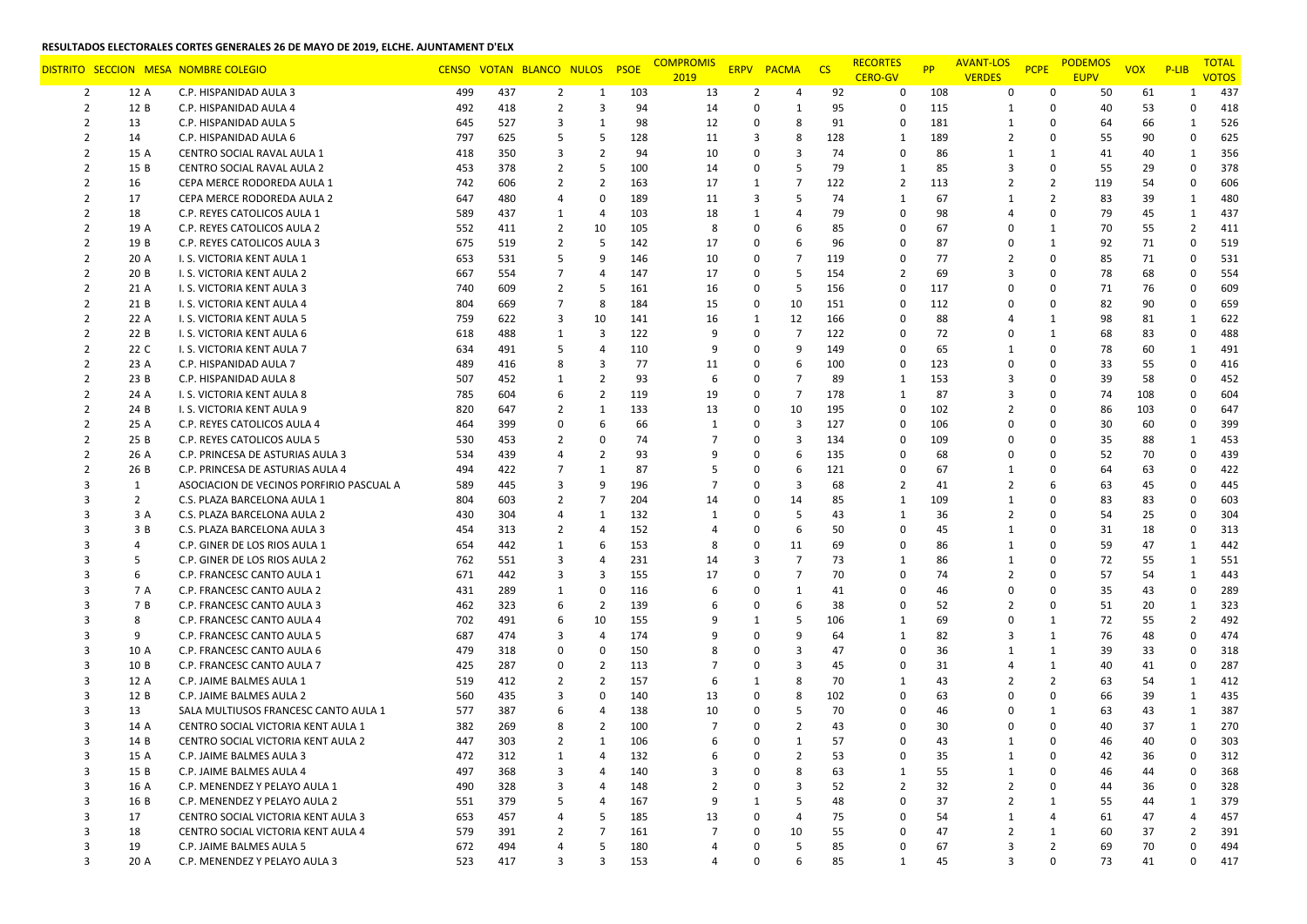|                |                | DISTRITO SECCION MESA NOMBRE COLEGIO     |     |     | CENSO VOTAN BLANCO NULOS |                | <b>PSOE</b> | <b>COMPROMIS</b><br>2019 |                | ERPV PACMA     | <b>CS</b> | <b>RECORTES</b><br><b>CERO-GV</b> | <b>PP</b> | <b>AVANT-LOS</b><br><b>VERDES</b> | <b>PCPE</b>    | <b>PODEMOS</b><br><b>EUPV</b> | <b>VOX</b> | $P$ -LIB       | <b>TOTAL</b><br><b>VOTOS</b> |
|----------------|----------------|------------------------------------------|-----|-----|--------------------------|----------------|-------------|--------------------------|----------------|----------------|-----------|-----------------------------------|-----------|-----------------------------------|----------------|-------------------------------|------------|----------------|------------------------------|
| 2              | 12 A           | C.P. HISPANIDAD AULA 3                   | 499 | 437 | $\overline{2}$           | 1              | 103         | 13                       | $\overline{2}$ | $\overline{4}$ | 92        | 0                                 | 108       | 0                                 | 0              | 50                            | 61         | -1             | 437                          |
| $\overline{2}$ | 12 B           | C.P. HISPANIDAD AULA 4                   | 492 | 418 | $\overline{2}$           | 3              | 94          | 14                       | 0              | $\mathbf{1}$   | 95        | $\Omega$                          | 115       | 1                                 | $\Omega$       | 40                            | 53         | 0              | 418                          |
| 2              | 13             | C.P. HISPANIDAD AULA 5                   | 645 | 527 | 3                        | 1              | 98          | 12                       | 0              | 8              | 91        | 0                                 | 181       | 1                                 | $\Omega$       | 64                            | 66         | 1              | 526                          |
| 2              | 14             | C.P. HISPANIDAD AULA 6                   | 797 | 625 | 5                        | 5              | 128         | 11                       | 3              | 8              | 128       | 1                                 | 189       | 2                                 | 0              | 55                            | 90         | $\mathbf 0$    | 625                          |
| 2              | 15 A           | CENTRO SOCIAL RAVAL AULA 1               | 418 | 350 | 3                        | $\overline{2}$ | 94          | 10                       | 0              | $\overline{3}$ | 74        | $\Omega$                          | 86        | 1                                 | $\mathbf{1}$   | 41                            | 40         | $\mathbf{1}$   | 356                          |
| $\mathcal{P}$  | 15 B           | CENTRO SOCIAL RAVAL AULA 2               | 453 | 378 | $\overline{2}$           | 5              | 100         | 14                       | $\Omega$       | 5              | 79        | 1                                 | 85        | 3                                 | 0              | 55                            | 29         | $\Omega$       | 378                          |
| $\overline{2}$ | 16             | CEPA MERCE RODOREDA AULA 1               | 742 | 606 | $\overline{2}$           | $\overline{2}$ | 163         | 17                       | 1              | $\overline{7}$ | 122       | $\overline{2}$                    | 113       | 2                                 | $\overline{2}$ | 119                           | 54         | 0              | 606                          |
| 2              | 17             | CEPA MERCE RODOREDA AULA 2               | 647 | 480 | $\overline{4}$           | 0              | 189         | 11                       | 3              | 5              | 74        | 1                                 | 67        | 1                                 | 2              | 83                            | 39         | 1              | 480                          |
| $\overline{2}$ | 18             | C.P. REYES CATOLICOS AULA 1              | 589 | 437 | 1                        | $\overline{4}$ | 103         | 18                       | 1              | $\overline{4}$ | 79        | $\Omega$                          | 98        | 4                                 | 0              | 79                            | 45         | $\mathbf{1}$   | 437                          |
| 2              | 19 A           | C.P. REYES CATOLICOS AULA 2              | 552 | 411 | $\overline{2}$           | 10             | 105         | 8                        | $\Omega$       | 6              | 85        | $\Omega$                          | 67        | 0                                 | $\mathbf{1}$   | 70                            | 55         | $\overline{2}$ | 411                          |
|                | 19 B           | C.P. REYES CATOLICOS AULA 3              | 675 | 519 | $\overline{2}$           | 5              | 142         | 17                       | $\Omega$       | 6              | 96        | $\Omega$                          | 87        | 0                                 | $\mathbf{1}$   | 92                            | 71         | 0              | 519                          |
| 2              | 20 A           | I. S. VICTORIA KENT AULA 1               | 653 | 531 | 5                        | 9              | 146         | 10                       | 0              | $\overline{7}$ | 119       | $\Omega$                          | 77        | 2                                 | 0              | 85                            | 71         | $\Omega$       | 531                          |
| 2              | 20B            | I. S. VICTORIA KENT AULA 2               | 667 | 554 | $\overline{7}$           | 4              | 147         | 17                       | 0              | 5              | 154       | $\overline{2}$                    | 69        | 3                                 | 0              | 78                            | 68         | 0              | 554                          |
| $\mathcal{P}$  | 21 A           | I. S. VICTORIA KENT AULA 3               | 740 | 609 | $\overline{2}$           | 5              | 161         | 16                       | 0              | 5              | 156       | $\Omega$                          | 117       | $\Omega$                          | $\Omega$       | 71                            | 76         | $\Omega$       | 609                          |
| 2              | 21 B           | I. S. VICTORIA KENT AULA 4               | 804 | 669 | $\overline{7}$           | 8              | 184         | 15                       | 0              | 10             | 151       | $\Omega$                          | 112       | <sup>0</sup>                      | $\Omega$       | 82                            | 90         | 0              | 659                          |
| 2              | 22 A           | I. S. VICTORIA KENT AULA 5               | 759 | 622 | 3                        | 10             | 141         | 16                       | 1              | 12             | 166       | $\Omega$                          | 88        | $\overline{4}$                    | 1              | 98                            | 81         | 1              | 622                          |
| $\mathcal{P}$  | 22 B           | I. S. VICTORIA KENT AULA 6               | 618 | 488 | 1                        | 3              | 122         | 9                        | 0              | $\overline{7}$ | 122       | $\Omega$                          | 72        | 0                                 | $\mathbf{1}$   | 68                            | 83         | $\Omega$       | 488                          |
| $\mathcal{P}$  | 22 C           | I. S. VICTORIA KENT AULA 7               | 634 | 491 | 5                        | 4              | 110         | 9                        | $\Omega$       | 9              | 149       | $\Omega$                          | 65        | $\mathbf{1}$                      | $\Omega$       | 78                            | 60         | $\mathbf{1}$   | 491                          |
|                | 23 A           | C.P. HISPANIDAD AULA 7                   | 489 | 416 | 8                        | 3              | 77          | 11                       | 0              | 6              | 100       | $\Omega$                          | 123       | $\Omega$                          | 0              | 33                            | 55         | $\Omega$       | 416                          |
| 2              | 23 B           | C.P. HISPANIDAD AULA 8                   | 507 | 452 | 1                        | 2              | 93          | 6                        | 0              | $\overline{7}$ | 89        | 1                                 | 153       | 3                                 | 0              | 39                            | 58         | $\Omega$       | 452                          |
| $\mathcal{P}$  | 24 A           | I. S. VICTORIA KENT AULA 8               | 785 | 604 | 6                        | $\overline{2}$ | 119         | 19                       | $\Omega$       | $\overline{7}$ | 178       | 1                                 | 87        | 3                                 | $\Omega$       | 74                            | 108        | $\Omega$       | 604                          |
| $\mathcal{P}$  | 24 B           | I. S. VICTORIA KENT AULA 9               | 820 | 647 | $\overline{2}$           | 1              | 133         | 13                       | 0              | 10             | 195       | $\Omega$                          | 102       | 2                                 | $\Omega$       | 86                            | 103        | $\Omega$       | 647                          |
| 2              | 25 A           | C.P. REYES CATOLICOS AULA 4              | 464 | 399 | 0                        | 6              | 66          | $\mathbf{1}$             | 0              | 3              | 127       | $\Omega$                          | 106       | $\Omega$                          | 0              | 30                            | 60         | 0              | 399                          |
| $\mathcal{P}$  | 25 B           | C.P. REYES CATOLICOS AULA 5              | 530 | 453 | 2                        | 0              | 74          |                          | 0              | 3              | 134       | $\Omega$                          | 109       | $\Omega$                          | $\Omega$       | 35                            | 88         | 1              | 453                          |
| 2              | 26 A           | C.P. PRINCESA DE ASTURIAS AULA 3         | 534 | 439 | $\overline{4}$           | $\overline{2}$ | 93          |                          | 0              | 6              | 135       | $\Omega$                          | 68        | $\Omega$                          | $\Omega$       | 52                            | 70         | $\Omega$       | 439                          |
| $\mathcal{P}$  | 26 B           | C.P. PRINCESA DE ASTURIAS AULA 4         | 494 | 422 | $\overline{7}$           | $\mathbf{1}$   | 87          |                          | 0              | 6              | 121       | $\Omega$                          | 67        | 1                                 | $\Omega$       | 64                            | 63         | 0              | 422                          |
|                | 1              | ASOCIACION DE VECINOS PORFIRIO PASCUAL A | 589 | 445 | 3                        | 9              | 196         | 7                        | $\Omega$       | $\overline{3}$ | 68        | $\overline{2}$                    | 41        | $\overline{2}$                    | 6              | 63                            | 45         | 0              | 445                          |
| 3              | $\overline{2}$ | C.S. PLAZA BARCELONA AULA 1              | 804 | 603 | $\overline{2}$           | $\overline{7}$ | 204         | 14                       | 0              | 14             | 85        | 1                                 | 109       | 1                                 | 0              | 83                            | 83         | $\Omega$       | 603                          |
|                | 3 A            | C.S. PLAZA BARCELONA AULA 2              | 430 | 304 | 4                        | 1              | 132         | 1                        | 0              | 5              | 43        | 1                                 | 36        | $\overline{2}$                    | $\Omega$       | 54                            | 25         | $\Omega$       | 304                          |
|                | 3 B            | C.S. PLAZA BARCELONA AULA 3              | 454 | 313 | 2                        | 4              | 152         |                          | 0              | 6              | 50        | $\Omega$                          | 45        | 1                                 | $\Omega$       | 31                            | 18         | $\Omega$       | 313                          |
|                | $\overline{4}$ | C.P. GINER DE LOS RIOS AULA 1            | 654 | 442 | 1                        | 6              | 153         | 8                        | 0              | 11             | 69        | $\Omega$                          | 86        | 1                                 | 0              | 59                            | 47         | $\mathbf{1}$   | 442                          |
|                | 5              | C.P. GINER DE LOS RIOS AULA 2            | 762 | 551 | 3                        | 4              | 231         | 14                       | 3              | $\overline{7}$ | 73        | 1                                 | 86        | 1                                 | 0              | 72                            | 55         | 1              | 551                          |
| 3              | 6              | C.P. FRANCESC CANTO AULA 1               | 671 | 442 | 3                        | 3              | 155         | 17                       | 0              | $\overline{7}$ | 70        | $\Omega$                          | 74        | $\overline{2}$                    | $\Omega$       | 57                            | 54         | $\mathbf{1}$   | 443                          |
| 3              | 7 A            | C.P. FRANCESC CANTO AULA 2               | 431 | 289 | 1                        | 0              | 116         |                          | 0              | $\mathbf{1}$   | 41        | $\Omega$                          | 46        | 0                                 | 0              | 35                            | 43         | 0              | 289                          |
|                | 7 B            | C.P. FRANCESC CANTO AULA 3               | 462 | 323 | 6                        | $\overline{2}$ | 139         |                          | $\Omega$       | 6              | 38        | $\Omega$                          | 52        | 2                                 | $\Omega$       | 51                            | 20         | $\mathbf{1}$   | 323                          |
| 3              | 8              | C.P. FRANCESC CANTO AULA 4               | 702 | 491 | 6                        | 10             | 155         | 9                        | 1              | 5              | 106       | 1                                 | 69        | 0                                 | $\mathbf{1}$   | 72                            | 55         | $\overline{2}$ | 492                          |
| 3              | 9              | C.P. FRANCESC CANTO AULA 5               | 687 | 474 | 3                        | 4              | 174         |                          | 0              | 9              | 64        | 1                                 | 82        | 3                                 | $\mathbf{1}$   | 76                            | 48         | $\Omega$       | 474                          |
| 3              | 10 A           | C.P. FRANCESC CANTO AULA 6               | 479 | 318 | 0                        | 0              | 150         |                          | 0              | 3              | 47        | $\Omega$                          | 36        | 1                                 | $\mathbf{1}$   | 39                            | 33         | $\Omega$       | 318                          |
| 3              | 10 B           | C.P. FRANCESC CANTO AULA 7               | 425 | 287 | 0                        | $\overline{2}$ | 113         | $\overline{7}$           | 0              | 3              | 45        | $\Omega$                          | 31        | $\overline{4}$                    | $\mathbf{1}$   | 40                            | 41         | $\Omega$       | 287                          |
|                | 12 A           | C.P. JAIME BALMES AULA 1                 | 519 | 412 | 2                        | $\overline{2}$ | 157         | $\mathbf{b}$             | 1              | 8              | 70        | 1                                 | 43        | 2                                 | 2              | 63                            | 54         | 1              | 412                          |
| 3              | 12 B           | C.P. JAIME BALMES AULA 2                 | 560 | 435 | 3                        | $\Omega$       | 140         | 13                       | 0              | 8              | 102       | $\Omega$                          | 63        | <sup>0</sup>                      | 0              | 66                            | 39         | $\mathbf{1}$   | 435                          |
| 3              | 13             | SALA MULTIUSOS FRANCESC CANTO AULA 1     | 577 | 387 | 6                        | 4              | 138         | 10                       | 0              | 5              | 70        | $\Omega$                          | 46        | <sup>0</sup>                      | 1              | 63                            | 43         | $\mathbf{1}$   | 387                          |
| 3              | 14 A           | CENTRO SOCIAL VICTORIA KENT AULA 1       | 382 | 269 | 8                        | 2              | 100         | 7                        | 0              | $\overline{2}$ | 43        | $\Omega$                          | 30        | 0                                 | 0              | 40                            | 37         | 1              | 270                          |
| 3              | 14 B           | CENTRO SOCIAL VICTORIA KENT AULA 2       | 447 | 303 | $\overline{2}$           | $\mathbf{1}$   | 106         |                          | $\Omega$       | 1              | 57        | $\Omega$                          | 43        | -1                                | O              | 46                            | 40         | $\Omega$       | 303                          |
| 3              | 15 A           | C.P. JAIME BALMES AULA 3                 | 472 | 312 | 1                        | 4              | 132         | 6                        | $\mathbf 0$    | $\overline{2}$ | 53        | 0                                 | 35        | 1                                 | 0              | 42                            | 36         | 0              | 312                          |
| 3              | 15 B           | C.P. JAIME BALMES AULA 4                 | 497 | 368 | 3                        | 4              | 140         | 3                        | $\Omega$       | 8              | 63        | $\mathbf{1}$                      | 55        | 1                                 | $\Omega$       | 46                            | 44         | U              | 368                          |
| 3              | 16 A           | C.P. MENENDEZ Y PELAYO AULA 1            | 490 | 328 | 3                        | 4              | 148         | 2                        | 0              | $\overline{3}$ | 52        | $\overline{2}$                    | 32        | $\overline{2}$                    | 0              | 44                            | 36         | 0              | 328                          |
| 3              | 16 B           | C.P. MENENDEZ Y PELAYO AULA 2            | 551 | 379 | 5                        | 4              | 167         | 9                        | 1              | 5              | 48        | $\mathbf 0$                       | 37        | $\overline{2}$                    | $\mathbf{1}$   | 55                            | 44         | -1             | 379                          |
| 3              | 17             | CENTRO SOCIAL VICTORIA KENT AULA 3       | 653 | 457 | $\overline{4}$           | 5              | 185         | 13                       | $\mathbf{0}$   | $\overline{4}$ | 75        | $\mathbf 0$                       | 54        | 1                                 | 4              | 61                            | 47         | 4              | 457                          |
| 3              | 18             | CENTRO SOCIAL VICTORIA KENT AULA 4       | 579 | 391 | $\overline{2}$           | $\overline{7}$ | 161         | $\overline{7}$           | 0              | 10             | 55        | $\mathbf 0$                       | 47        | $\overline{2}$                    | $\mathbf{1}$   | 60                            | 37         | $\overline{2}$ | 391                          |
| 3              | 19             | C.P. JAIME BALMES AULA 5                 | 672 | 494 | $\overline{4}$           | 5              | 180         |                          | 0              | 5              | 85        | $\Omega$                          | 67        | 3                                 | $\overline{2}$ | 69                            | 70         | 0              | 494                          |
| 3              | 20 A           | C.P. MENENDEZ Y PELAYO AULA 3            | 523 | 417 | 3                        | 3              | 153         | 4                        | 0              | 6              | 85        | $\mathbf{1}$                      | 45        | 3                                 | $\mathbf{0}$   | 73                            | 41         | 0              | 417                          |
|                |                |                                          |     |     |                          |                |             |                          |                |                |           |                                   |           |                                   |                |                               |            |                |                              |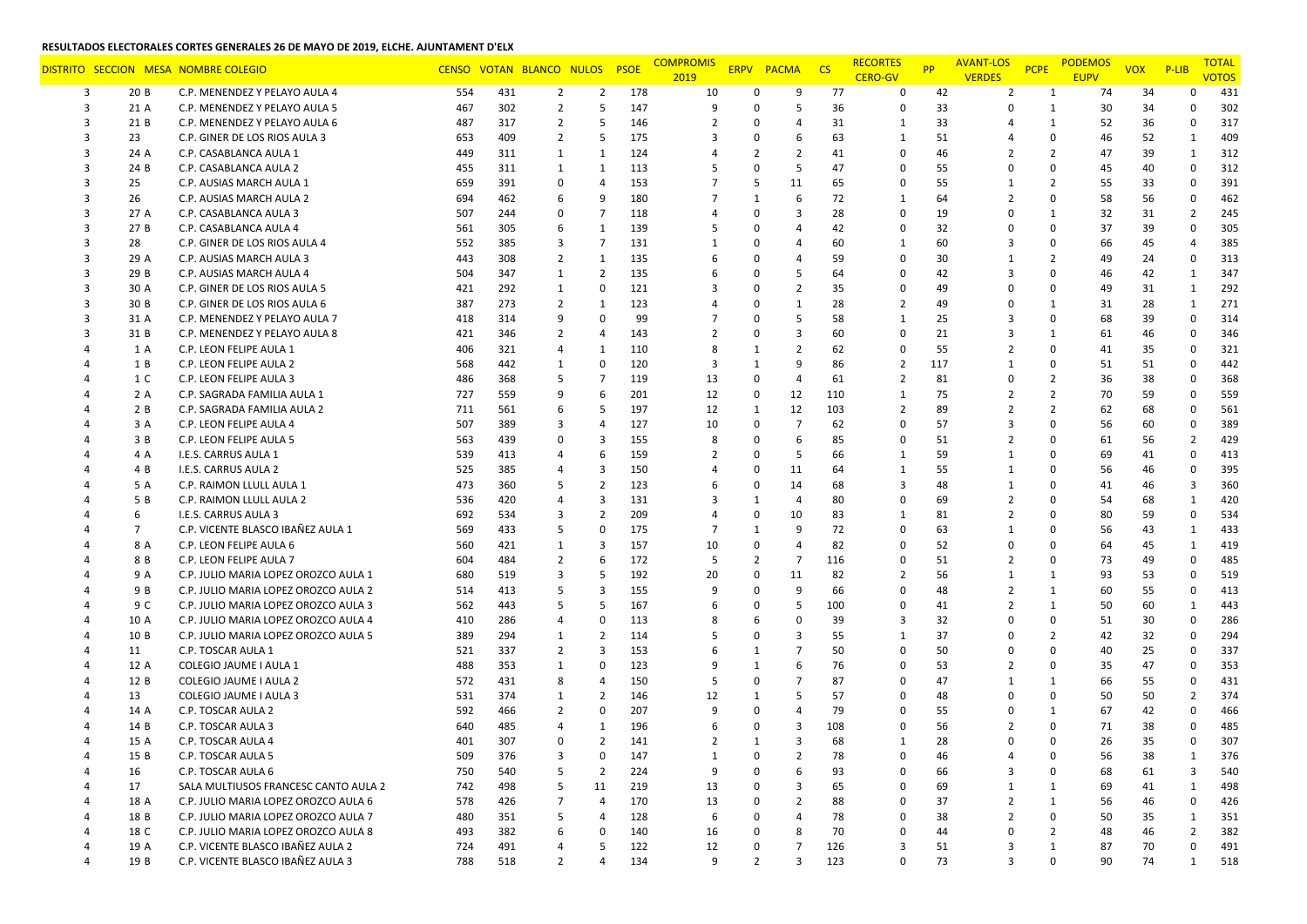|                |                | DISTRITO SECCION MESA NOMBRE COLEGIO |     |     | CENSO VOTAN BLANCO NULOS |                | <b>PSOE</b> | <b>COMPROMIS</b><br>2019 |                | ERPV PACMA     | $\overline{\text{CS}}$ | <b>RECORTES</b><br><b>CERO-GV</b> | <b>PP</b> | <b>AVANT-LOS</b><br><b>VERDES</b> | <b>PCPE</b>    | <b>PODEMOS</b><br><b>EUPV</b> | <b>VOX</b> | $P$ -LIB                | <b>TOTAL</b><br><b>VOTOS</b> |
|----------------|----------------|--------------------------------------|-----|-----|--------------------------|----------------|-------------|--------------------------|----------------|----------------|------------------------|-----------------------------------|-----------|-----------------------------------|----------------|-------------------------------|------------|-------------------------|------------------------------|
| 3              | 20B            | C.P. MENENDEZ Y PELAYO AULA 4        | 554 | 431 | $\overline{2}$           | $\overline{2}$ | 178         | 10                       | 0              | 9              | 77                     | $\Omega$                          | 42        | $\overline{2}$                    | 1              | 74                            | 34         | o                       | 431                          |
| 3              | 21 A           | C.P. MENENDEZ Y PELAYO AULA 5        | 467 | 302 | $\overline{2}$           | 5              | 147         | 9                        | $\Omega$       | 5              | 36                     | $\Omega$                          | 33        | 0                                 | $\mathbf{1}$   | 30                            | 34         | $\Omega$                | 302                          |
| 3              | 21 B           | C.P. MENENDEZ Y PELAYO AULA 6        | 487 | 317 | $\overline{2}$           | 5              | 146         |                          | 0              | $\overline{4}$ | 31                     | 1                                 | 33        | $\boldsymbol{\mathcal{A}}$        | 1              | 52                            | 36         | 0                       | 317                          |
| 3              | 23             | C.P. GINER DE LOS RIOS AULA 3        | 653 | 409 | $\overline{2}$           | 5              | 175         | 3                        | $\Omega$       | 6              | 63                     | 1                                 | 51        | 4                                 | 0              | 46                            | 52         | $\mathbf{1}$            | 409                          |
| 3              | 24 A           | C.P. CASABLANCA AULA 1               | 449 | 311 | 1                        | 1              | 124         |                          | $\overline{2}$ | $\overline{2}$ | 41                     | $\Omega$                          | 46        | 2                                 | $\overline{2}$ | 47                            | 39         | $\mathbf{1}$            | 312                          |
|                | 24 B           | C.P. CASABLANCA AULA 2               | 455 | 311 | 1                        | $\mathbf{1}$   | 113         |                          | 0              | 5              | 47                     | $\Omega$                          | 55        | 0                                 | $\Omega$       | 45                            | 40         | $\Omega$                | 312                          |
| 3              | 25             | C.P. AUSIAS MARCH AULA 1             | 659 | 391 | 0                        | 4              | 153         |                          | 5              | 11             | 65                     | $\mathbf 0$                       | 55        | 1                                 | $\overline{2}$ | 55                            | 33         | $\mathbf 0$             | 391                          |
| 3              | 26             | C.P. AUSIAS MARCH AULA 2             | 694 | 462 | 6                        | 9              | 180         |                          | 1              | 6              | 72                     | 1                                 | 64        | $\overline{2}$                    | 0              | 58                            | 56         | 0                       | 462                          |
| 3              | 27 A           | C.P. CASABLANCA AULA 3               | 507 | 244 | 0                        | $\overline{7}$ | 118         |                          | $\Omega$       | 3              | 28                     | $\Omega$                          | 19        | 0                                 | $\mathbf{1}$   | 32                            | 31         | $\overline{2}$          | 245                          |
| 3              | 27 B           | C.P. CASABLANCA AULA 4               | 561 | 305 | 6                        | $\mathbf{1}$   | 139         |                          | 0              | $\overline{4}$ | 42                     | $\Omega$                          | 32        | $\Omega$                          | 0              | 37                            | 39         | $\Omega$                | 305                          |
|                | 28             | C.P. GINER DE LOS RIOS AULA 4        | 552 | 385 | 3                        | $\overline{7}$ | 131         |                          | 0              | $\overline{4}$ | 60                     | $\mathbf{1}$                      | 60        | 3                                 | 0              | 66                            | 45         | 4                       | 385                          |
| 3              | 29 A           | C.P. AUSIAS MARCH AULA 3             | 443 | 308 | $\overline{2}$           | 1              | 135         |                          | 0              | $\overline{4}$ | 59                     | $\Omega$                          | 30        | 1                                 | 2              | 49                            | 24         | 0                       | 313                          |
| 3              | 29 B           | C.P. AUSIAS MARCH AULA 4             | 504 | 347 | 1                        | $\overline{2}$ | 135         |                          | 0              | 5              | 64                     | $\Omega$                          | 42        | 3                                 | 0              | 46                            | 42         | $\mathbf{1}$            | 347                          |
| 3              | 30 A           | C.P. GINER DE LOS RIOS AULA 5        | 421 | 292 | 1                        | 0              | 121         |                          | $\Omega$       | $\overline{2}$ | 35                     | $\Omega$                          | 49        | 0                                 | $\Omega$       | 49                            | 31         | $\mathbf{1}$            | 292                          |
| 3              | 30 B           | C.P. GINER DE LOS RIOS AULA 6        | 387 | 273 | $\overline{2}$           | $\mathbf{1}$   | 123         |                          | 0              | $\mathbf{1}$   | 28                     | $\overline{2}$                    | 49        | 0                                 | $\mathbf{1}$   | 31                            | 28         | $\mathbf{1}$            | 271                          |
| 3              | 31 A           | C.P. MENENDEZ Y PELAYO AULA 7        | 418 | 314 | 9                        | $\Omega$       | 99          | 7                        | 0              | 5              | 58                     | $\mathbf{1}$                      | 25        | 3                                 | 0              | 68                            | 39         | $\Omega$                | 314                          |
|                | 31 B           | C.P. MENENDEZ Y PELAYO AULA 8        | 421 | 346 | $\overline{2}$           | $\overline{4}$ | 143         | 2                        | $\Omega$       | 3              | 60                     | $\Omega$                          | 21        | 3                                 | $\mathbf{1}$   | 61                            | 46         | $\Omega$                | 346                          |
|                | 1 A            | C.P. LEON FELIPE AULA 1              | 406 | 321 | $\overline{4}$           | $\mathbf{1}$   | 110         | 8                        | 1              | $\overline{2}$ | 62                     | $\Omega$                          | 55        | 2                                 | 0              | 41                            | 35         | $\mathbf 0$             | 321                          |
|                | 1 B            | C.P. LEON FELIPE AULA 2              | 568 | 442 | 1                        | $\mathbf 0$    | 120         | 3                        | 1              | 9              | 86                     | $\overline{2}$                    | 117       | 1                                 | 0              | 51                            | 51         | $\Omega$                | 442                          |
|                | 1 C            | C.P. LEON FELIPE AULA 3              | 486 | 368 | 5                        | 7              | 119         | 13                       | 0              | $\overline{4}$ | 61                     | $\overline{2}$                    | 81        | 0                                 | $\overline{2}$ | 36                            | 38         | 0                       | 368                          |
|                | 2 A            | C.P. SAGRADA FAMILIA AULA 1          | 727 | 559 | 9                        | 6              | 201         | 12                       | $\mathbf 0$    | 12             | 110                    | $\mathbf{1}$                      | 75        | $\overline{2}$                    | $\overline{2}$ | 70                            | 59         | 0                       | 559                          |
|                | 2 B            | C.P. SAGRADA FAMILIA AULA 2          | 711 | 561 | 6                        | 5              | 197         | 12                       | 1              | 12             | 103                    | $\overline{2}$                    | 89        | $\overline{2}$                    | $\overline{2}$ | 62                            | 68         | $\Omega$                | 561                          |
|                | 3 A            | C.P. LEON FELIPE AULA 4              | 507 | 389 | 3                        | 4              | 127         | 10                       | 0              | $\overline{7}$ | 62                     | $\Omega$                          | 57        | 3                                 | $\Omega$       | 56                            | 60         | $\mathbf 0$             | 389                          |
|                | 3 B            | C.P. LEON FELIPE AULA 5              | 563 | 439 | 0                        | 3              | 155         | 8                        | 0              | 6              | 85                     | $\Omega$                          | 51        | 2                                 | 0              | 61                            | 56         | $\overline{2}$          | 429                          |
|                | 4 A            | I.E.S. CARRUS AULA 1                 | 539 | 413 | $\overline{4}$           | 6              | 159         | 2                        | 0              | 5              | 66                     | 1                                 | 59        | 1                                 | 0              | 69                            | 41         | 0                       | 413                          |
|                | 4 B            | I.E.S. CARRUS AULA 2                 | 525 | 385 | $\overline{4}$           | 3              | 150         | 4                        | $\Omega$       | 11             | 64                     | $\mathbf{1}$                      | 55        | 1                                 | $\Omega$       | 56                            | 46         | 0                       | 395                          |
|                | 5 A            | C.P. RAIMON LLULL AULA 1             | 473 | 360 | 5                        | $\overline{2}$ | 123         |                          | $\Omega$       | 14             | 68                     | $\overline{3}$                    | 48        | 1                                 | 0              | 41                            | 46         | 3                       | 360                          |
|                | 5 B            | C.P. RAIMON LLULL AULA 2             | 536 | 420 | $\overline{4}$           | 3              | 131         | 3                        | 1              | $\overline{4}$ | 80                     | $\Omega$                          | 69        | $\overline{2}$                    | $\Omega$       | 54                            | 68         | $\mathbf{1}$            | 420                          |
|                | 6              | I.E.S. CARRUS AULA 3                 | 692 | 534 | 3                        | $\overline{2}$ | 209         |                          | 0              | 10             | 83                     | 1                                 | 81        | $\overline{2}$                    | $\Omega$       | 80                            | 59         | 0                       | 534                          |
|                | $\overline{7}$ | C.P. VICENTE BLASCO IBAÑEZ AULA 1    | 569 | 433 | 5                        | 0              | 175         | 7                        | 1              | 9              | 72                     | $\Omega$                          | 63        | 1                                 | $\Omega$       | 56                            | 43         | $\mathbf{1}$            | 433                          |
|                | 8 A            | C.P. LEON FELIPE AULA 6              | 560 | 421 | 1                        | 3              | 157         | 10                       | 0              | $\overline{4}$ | 82                     | $\Omega$                          | 52        | $\Omega$                          | 0              | 64                            | 45         | $\mathbf{1}$            | 419                          |
|                | 8 B            | C.P. LEON FELIPE AULA 7              | 604 | 484 | $\overline{2}$           | 6              | 172         | 5                        | $\overline{2}$ | $\overline{7}$ | 116                    | $\Omega$                          | 51        | 2                                 | $\Omega$       | 73                            | 49         | $\Omega$                | 485                          |
|                | 9 A            | C.P. JULIO MARIA LOPEZ OROZCO AULA 1 | 680 | 519 | 3                        | 5              | 192         | 20                       | 0              | 11             | 82                     | $\overline{2}$                    | 56        | 1                                 | $\mathbf{1}$   | 93                            | 53         | $\Omega$                | 519                          |
|                | 9 B            | C.P. JULIO MARIA LOPEZ OROZCO AULA 2 | 514 | 413 | 5                        | 3              | 155         | 9                        | 0              | 9              | 66                     | $\Omega$                          | 48        | $\overline{2}$                    | $\mathbf{1}$   | 60                            | 55         | 0                       | 413                          |
|                | 9 C            | C.P. JULIO MARIA LOPEZ OROZCO AULA 3 | 562 | 443 | 5                        | 5              | 167         |                          | 0              | 5              | 100                    | $\Omega$                          | 41        | 2                                 | $\mathbf{1}$   | 50                            | 60         | $\mathbf{1}$            | 443                          |
|                | 10 A           | C.P. JULIO MARIA LOPEZ OROZCO AULA 4 | 410 | 286 | $\overline{4}$           | $\Omega$       | 113         | 8                        | 6              | $\Omega$       | 39                     | 3                                 | 32        | 0                                 | $\Omega$       | 51                            | 30         | $\mathbf 0$             | 286                          |
|                | 10 B           | C.P. JULIO MARIA LOPEZ OROZCO AULA 5 | 389 | 294 | 1                        | 2              | 114         |                          | $\Omega$       | 3              | 55                     | $\mathbf{1}$                      | 37        | 0                                 | 2              | 42                            | 32         | $\Omega$                | 294                          |
|                | 11             | C.P. TOSCAR AULA 1                   | 521 | 337 | $\overline{2}$           | 3              | 153         |                          | 1              | $\overline{7}$ | 50                     | $\Omega$                          | 50        | 0                                 | $\Omega$       | 40                            | 25         | $\Omega$                | 337                          |
|                | 12 A           | <b>COLEGIO JAUME I AULA 1</b>        | 488 | 353 | 1                        | $\Omega$       | 123         | 9                        | 1              | 6              | 76                     | $\Omega$                          | 53        | $\overline{2}$                    | 0              | 35                            | 47         | $\mathbf 0$             | 353                          |
|                | 12 B           | COLEGIO JAUME I AULA 2               | 572 | 431 | 8                        | 4              | 150         | .5                       | $\Omega$       | $\overline{7}$ | 87                     | $\Omega$                          | 47        | 1                                 | $\mathbf{1}$   | 66                            | 55         | $\Omega$                | 431                          |
|                | 13             | <b>COLEGIO JAUME I AULA 3</b>        | 531 | 374 | 1                        | 2              | 146         | 12                       | 1              | 5              | 57                     | $\Omega$                          | 48        | 0                                 | 0              | 50                            | 50         | $\overline{2}$          | 374                          |
|                | 14 A           | C.P. TOSCAR AULA 2                   | 592 | 466 | $\overline{2}$           | 0              | 207         | 9                        | 0              | $\overline{4}$ | 79                     | $\Omega$                          | 55        | 0                                 | 1              | 67                            | 42         | 0                       | 466                          |
|                | 14 B           | C.P. TOSCAR AULA 3                   | 640 | 485 | $\overline{4}$           | 1              | 196         |                          | Ω              | 3              | 108                    | $\Omega$                          | 56        | 2                                 | 0              | 71                            | 38         | $\Omega$                | 485                          |
| 4              | 15 A           | C.P. TOSCAR AULA 4                   | 401 | 307 | $\Omega$                 | $\overline{2}$ | 141         | 2                        | 1              | $\overline{3}$ | 68                     | $\mathbf{1}$                      | 28        | $\Omega$                          | $\Omega$       | 26                            | 35         | $\Omega$                | 307                          |
| $\overline{a}$ | 15 B           | C.P. TOSCAR AULA 5                   | 509 | 376 | 3                        | 0              | 147         | 1                        | $\mathbf{0}$   | $\overline{2}$ | 78                     | $\mathbf 0$                       | 46        | $\overline{4}$                    | 0              | 56                            | 38         | 1                       | 376                          |
|                | 16             | C.P. TOSCAR AULA 6                   | 750 | 540 | 5                        | $\overline{2}$ | 224         | 9                        | $\Omega$       | 6              | 93                     | $\Omega$                          | 66        | 3                                 | $\mathbf 0$    | 68                            | 61         | $\overline{\mathbf{3}}$ | 540                          |
|                | 17             | SALA MULTIUSOS FRANCESC CANTO AULA 2 | 742 | 498 | 5                        | 11             | 219         | 13                       | 0              | $\overline{3}$ | 65                     | $\Omega$                          | 69        | $\mathbf{1}$                      | $\mathbf{1}$   | 69                            | 41         | $\mathbf{1}$            | 498                          |
|                | 18 A           | C.P. JULIO MARIA LOPEZ OROZCO AULA 6 | 578 | 426 | $\overline{7}$           | $\overline{4}$ | 170         | 13                       | 0              | $\overline{2}$ | 88                     | $\Omega$                          | 37        | $\overline{2}$                    | $\mathbf{1}$   | 56                            | 46         | $\Omega$                | 426                          |
|                | 18 B           | C.P. JULIO MARIA LOPEZ OROZCO AULA 7 | 480 | 351 | 5                        | 4              | 128         | 6                        | 0              | $\overline{4}$ | 78                     | $\mathbf 0$                       | 38        | 2                                 | $\Omega$       | 50                            | 35         | 1                       | 351                          |
|                | 18 C           | C.P. JULIO MARIA LOPEZ OROZCO AULA 8 | 493 | 382 | 6                        | 0              | 140         | 16                       | 0              | 8              | 70                     | $\mathbf 0$                       | 44        | 0                                 | $\overline{2}$ | 48                            | 46         | $\overline{2}$          | 382                          |
| 4              | 19 A           | C.P. VICENTE BLASCO IBAÑEZ AULA 2    | 724 | 491 | $\overline{4}$           | 5              | 122         | 12                       | 0              | $\overline{7}$ | 126                    | 3                                 | 51        | 3                                 | $\mathbf{1}$   | 87                            | 70         | 0                       | 491                          |
| $\overline{4}$ | 19 B           | C.P. VICENTE BLASCO IBAÑEZ AULA 3    | 788 | 518 | $\overline{2}$           | 4              | 134         | 9                        | $\overline{2}$ | $\overline{3}$ | 123                    | $\mathbf 0$                       | 73        | 3                                 | $\mathbf 0$    | 90                            | 74         | $\mathbf{1}$            | 518                          |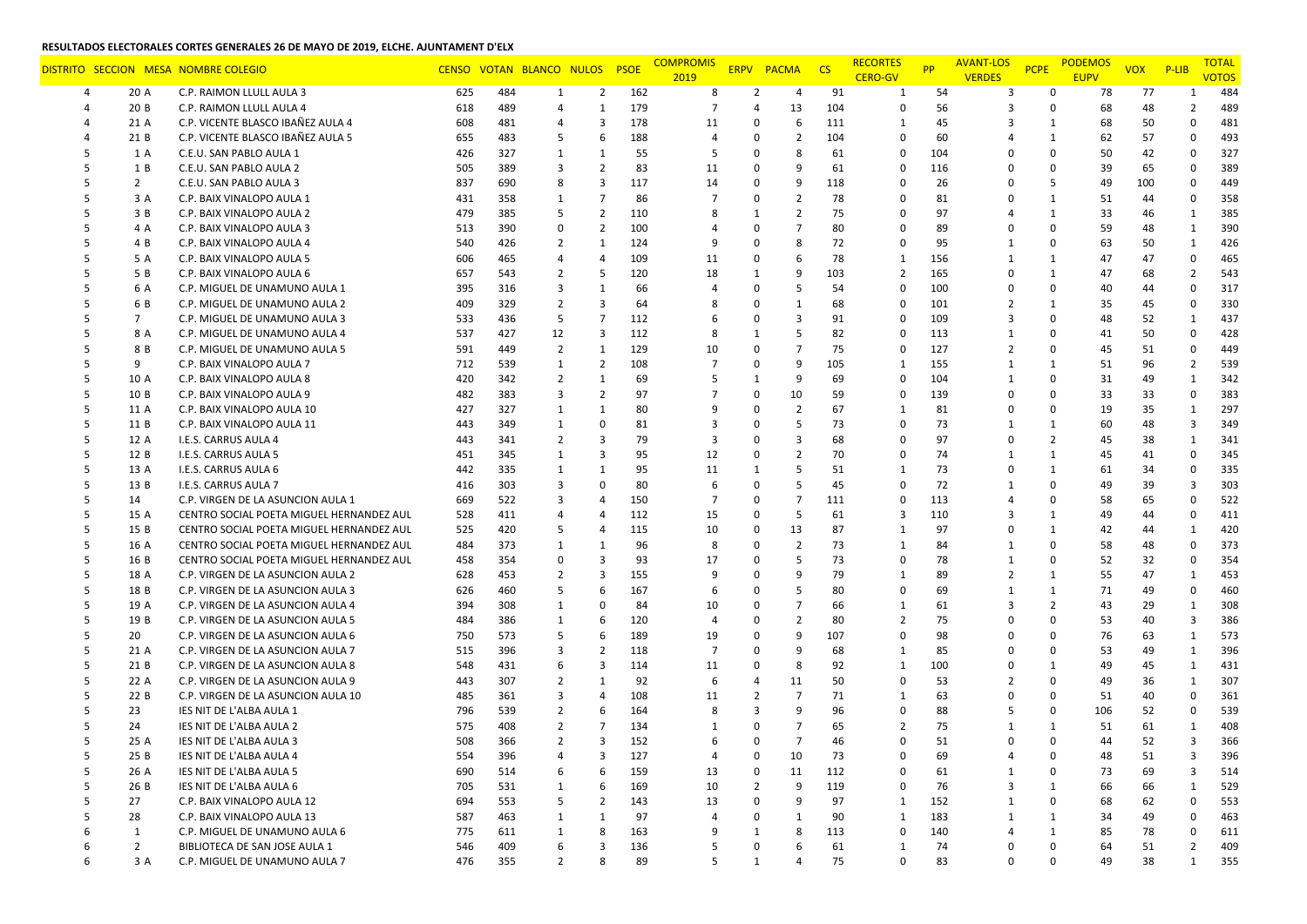|        |                | DISTRITO SECCION MESA NOMBRE COLEGIO                 |            |            | CENSO VOTAN BLANCO NULOS |                                | <b>PSOE</b> | <b>COMPROMIS</b><br>2019 |                     | <b>ERPV PACMA</b> | $\overline{\text{CS}}$ | <b>RECORTES</b><br><b>CERO-GV</b> | <b>PP</b> | <b>AVANT-LOS</b><br><b>VERDES</b> | <b>PCPE</b>    | <b>PODEMOS</b><br><b>EUPV</b> | <b>VOX</b> | $P$ -LIB       | <b>TOTAL</b><br><b>VOTOS</b> |
|--------|----------------|------------------------------------------------------|------------|------------|--------------------------|--------------------------------|-------------|--------------------------|---------------------|-------------------|------------------------|-----------------------------------|-----------|-----------------------------------|----------------|-------------------------------|------------|----------------|------------------------------|
| 4      | 20 A           | C.P. RAIMON LLULL AULA 3                             | 625        | 484        | 1                        | 2                              | 162         | 8                        | 2                   | 4                 | 91                     | 1                                 | 54        | 3                                 | $\Omega$       | 78                            | 77         |                | 484                          |
|        | 20 B           | C.P. RAIMON LLULL AULA 4                             | 618        | 489        | $\overline{4}$           | $\mathbf{1}$                   | 179         | $\overline{7}$           | 4                   | 13                | 104                    | $\Omega$                          | 56        | 3                                 | 0              | 68                            | 48         | $\overline{2}$ | 489                          |
|        | 21 A           | C.P. VICENTE BLASCO IBAÑEZ AULA 4                    | 608        | 481        | $\overline{4}$           | 3                              | 178         | 11                       | $\Omega$            | 6                 | 111                    | 1                                 | 45        | 3                                 | 1              | 68                            | 50         | $\Omega$       | 481                          |
|        | 21 B           | C.P. VICENTE BLASCO IBAÑEZ AULA 5                    | 655        | 483        | 5                        | 6                              | 188         | 4                        | 0                   | $\overline{2}$    | 104                    | $\Omega$                          | 60        | 4                                 | $\mathbf{1}$   | 62                            | 57         | 0              | 493                          |
|        | 1 A            | C.E.U. SAN PABLO AULA 1                              | 426        | 327        | 1                        | 1                              | 55          | .5                       | $\Omega$            | 8                 | 61                     | $\Omega$                          | 104       | $\Omega$                          | 0              | 50                            | 42         | 0              | 327                          |
|        | 1 B            | C.E.U. SAN PABLO AULA 2                              | 505        | 389        | 3                        | $\overline{2}$                 | 83          | 11                       | 0                   | 9                 | 61                     | $\Omega$                          | 116       | $\Omega$                          | $\Omega$       | 39                            | 65         | $\Omega$       | 389                          |
|        | $\overline{2}$ | C.E.U. SAN PABLO AULA 3                              | 837        | 690        | 8                        | 3                              | 117         | 14                       | $\Omega$            | 9                 | 118                    | $\Omega$                          | 26        | $\Omega$                          | 5              | 49                            | 100        | $\mathbf 0$    | 449                          |
|        | 3 A            | C.P. BAIX VINALOPO AULA 1                            | 431        | 358        | 1                        | $\overline{7}$                 | 86          | 7                        | 0                   | $\overline{2}$    | 78                     | $\Omega$                          | 81        | $\Omega$                          | 1              | 51                            | 44         | 0              | 358                          |
|        | 3 B            | C.P. BAIX VINALOPO AULA 2                            | 479        | 385        | 5                        | $\overline{2}$                 | 110         |                          | 1                   | $\overline{2}$    | 75                     | $\Omega$                          | 97        | 4                                 | $\mathbf{1}$   | 33                            | 46         | $\mathbf{1}$   | 385                          |
|        | 4 A            | C.P. BAIX VINALOPO AULA 3                            | 513        | 390        | 0                        | $\overline{2}$                 | 100         | 4                        | $\Omega$            | $\overline{7}$    | 80                     | $\Omega$                          | 89        | 0                                 | $\Omega$       | 59                            | 48         | $\mathbf{1}$   | 390                          |
|        | 4 B            | C.P. BAIX VINALOPO AULA 4                            | 540        | 426        | $\overline{2}$           | $\mathbf{1}$                   | 124         | 9                        | 0                   | 8                 | 72                     | $\Omega$                          | 95        | 1                                 | $\Omega$       | 63                            | 50         | -1             | 426                          |
|        | 5 A            | C.P. BAIX VINALOPO AULA 5                            | 606        | 465        | $\overline{4}$           | 4                              | 109         | 11                       | 0                   | 6                 | 78                     | 1                                 | 156       | 1                                 | 1              | 47                            | 47         | 0              | 465                          |
|        | 5 B            | C.P. BAIX VINALOPO AULA 6                            | 657        | 543        | $\overline{2}$           | 5                              | 120         | 18                       | 1                   | 9                 | 103                    | $\overline{2}$                    | 165       | 0                                 | $\mathbf{1}$   | 47                            | 68         | 2              | 543                          |
|        | 6 A            | C.P. MIGUEL DE UNAMUNO AULA 1                        | 395        | 316        | 3                        | 1                              | 66          |                          | 0                   | 5                 | 54                     | $\Omega$                          | 100       | 0                                 | 0              | 40                            | 44         | $\Omega$       | 317                          |
|        | 6 B            | C.P. MIGUEL DE UNAMUNO AULA 2                        | 409        | 329        | $\overline{2}$           | 3                              | 64          | 8                        | $\Omega$            | $\mathbf{1}$      | 68                     | $\Omega$                          | 101       | $\overline{2}$                    | $\mathbf{1}$   | 35                            | 45         | 0              | 330                          |
|        | $\overline{7}$ | C.P. MIGUEL DE UNAMUNO AULA 3                        | 533        | 436        | -5                       | $\overline{7}$                 | 112         |                          | 0                   | 3                 | 91                     | $\Omega$                          | 109       | 3                                 | 0              | 48                            | 52         | 1              | 437                          |
| .5     | 8 A            | C.P. MIGUEL DE UNAMUNO AULA 4                        | 537        | 427        | 12                       | 3                              | 112         | 8                        | 1                   | 5                 | 82                     | $\Omega$                          | 113       | 1                                 | 0              | 41                            | 50         | 0              | 428                          |
|        | 8 B            | C.P. MIGUEL DE UNAMUNO AULA 5                        | 591        | 449        | $\overline{2}$           | $\mathbf{1}$                   | 129         | 10                       | 0                   | $\overline{7}$    | 75                     | $\Omega$                          | 127       | 2                                 | 0              | 45                            | 51         | 0              | 449                          |
|        | 9              | C.P. BAIX VINALOPO AULA 7                            | 712        | 539        | 1                        | 2                              | 108         | 7                        | $\Omega$            | 9                 | 105                    | $\mathbf{1}$                      | 155       | 1                                 | $\mathbf{1}$   | 51                            | 96         | $\overline{2}$ | 539                          |
| .5     | 10 A           | C.P. BAIX VINALOPO AULA 8                            | 420        | 342        | $\overline{2}$           | 1                              | 69          |                          | 1                   | 9                 | 69                     | $\Omega$                          | 104       | 1                                 | $\Omega$       | 31                            | 49         | $\mathbf{1}$   | 342                          |
| .5     | 10 B           | C.P. BAIX VINALOPO AULA 9                            | 482        | 383        | 3                        | $\overline{2}$                 | 97          | 7                        | 0                   | 10                | 59                     | $\Omega$                          | 139       | 0                                 | 0              | 33                            | 33         | 0              | 383                          |
| .5     | 11 A           | C.P. BAIX VINALOPO AULA 10                           | 427        | 327        | 1                        | 1                              | 80          | 9                        | 0                   | $\overline{2}$    | 67                     | $\mathbf{1}$                      | 81        | 0                                 | 0              | 19                            | 35         | $\mathbf{1}$   | 297                          |
| .5     | 11 B           | C.P. BAIX VINALOPO AULA 11                           | 443        | 349        | 1                        | $\Omega$                       | 81          | 3                        | $\Omega$            | 5                 | 73                     | $\Omega$                          | 73        | 1                                 | $\mathbf{1}$   | 60                            | 48         | 3              | 349                          |
|        | 12 A           | I.E.S. CARRUS AULA 4                                 | 443        | 341        | $\overline{2}$           | 3                              | 79          | 3                        | $\Omega$            | $\overline{3}$    | 68                     | $\Omega$                          | 97        | 0                                 | $\overline{2}$ | 45                            | 38         | 1              | 341                          |
| .5     | 12 B           | I.E.S. CARRUS AULA 5                                 | 451        | 345        | 1                        | 3                              | 95          | 12                       | 0                   | $\overline{2}$    | 70                     | $\Omega$                          | 74        | 1                                 | $\mathbf{1}$   | 45                            | 41         | 0              | 345                          |
|        | 13 A           | I.E.S. CARRUS AULA 6                                 | 442        | 335        | 1                        | 1                              | 95          | 11                       | 1                   | 5                 | 51                     | $\mathbf{1}$                      | 73        | 0                                 | $\mathbf{1}$   | 61                            | 34         | 0              | 335                          |
|        | 13 B           | I.E.S. CARRUS AULA 7                                 | 416        | 303        | 3                        | $\Omega$                       | 80          | 6                        | 0                   | 5                 | 45                     | $\Omega$                          | 72        | 1                                 | 0              | 49                            | 39         | 3              | 303                          |
| .5     | 14             | C.P. VIRGEN DE LA ASUNCION AULA 1                    | 669        | 522        | 3                        | $\overline{4}$                 | 150         | 7                        | 0                   | $\overline{7}$    | 111                    | $\mathbf 0$                       | 113       | $\overline{4}$                    | 0              | 58                            | 65         | 0              | 522                          |
| .5     | 15 A           | CENTRO SOCIAL POETA MIGUEL HERNANDEZ AUL             | 528        | 411        | $\overline{4}$           | 4                              | 112         | 15                       | 0                   | 5                 | 61                     | 3                                 | 110       | 3                                 | 1              | 49                            | 44         | $\Omega$       | 411                          |
| 5      | 15 B           | CENTRO SOCIAL POETA MIGUEL HERNANDEZ AUL             | 525        | 420        | 5                        | $\overline{4}$                 | 115         | 10                       | 0                   | 13                | 87                     | $\mathbf{1}$                      | 97        | 0                                 | $\mathbf{1}$   | 42                            | 44         | $\mathbf{1}$   | 420                          |
|        | 16 A           | CENTRO SOCIAL POETA MIGUEL HERNANDEZ AUL             | 484        | 373        | 1                        | 1                              | 96          | 8                        | $\Omega$            | $\overline{2}$    | 73                     | $\mathbf{1}$                      | 84        | 1                                 | 0              | 58                            | 48         | $\Omega$       | 373                          |
|        | 16 B           | CENTRO SOCIAL POETA MIGUEL HERNANDEZ AUL             | 458        | 354        | 0                        | 3                              | 93          | 17                       | 0                   | 5                 | 73                     | $\Omega$                          | 78        | 1                                 | 0              | 52                            | 32         | 0              | 354                          |
| .5     | 18 A           | C.P. VIRGEN DE LA ASUNCION AULA 2                    | 628        | 453        | 2                        | 3                              | 155         | 9                        | 0                   | 9                 | 79                     | 1                                 | 89        | $\overline{2}$                    | $\mathbf{1}$   | 55                            | 47         | $\mathbf{1}$   | 453                          |
| 5      | 18 B           | C.P. VIRGEN DE LA ASUNCION AULA 3                    | 626        | 460        | 5                        | 6                              | 167         | 6                        | 0                   | 5                 | 80                     | 0                                 | 69        | 1                                 | $\mathbf{1}$   | 71                            | 49         | 0              | 460                          |
|        | 19 A           | C.P. VIRGEN DE LA ASUNCION AULA 4                    | 394        | 308        | 1                        | $\mathbf 0$                    | 84          | 10                       | 0                   | $\overline{7}$    | 66                     | $\mathbf{1}$                      | 61        | 3                                 | $\overline{2}$ | 43                            | 29         | $\mathbf{1}$   | 308                          |
| -5     | 19 B           | C.P. VIRGEN DE LA ASUNCION AULA 5                    | 484        | 386        | 1                        | 6                              | 120         | 4                        | 0                   | $\overline{2}$    | 80                     | $\overline{2}$                    | 75        | $\Omega$                          | 0              | 53                            | 40         | 3              | 386                          |
|        | 20             | C.P. VIRGEN DE LA ASUNCION AULA 6                    | 750        | 573        | 5                        | 6                              | 189         | 19                       | 0                   | 9                 | 107                    | $\Omega$                          | 98        | $\Omega$                          | 0              | 76                            | 63         | 1              | 573                          |
| .5     | 21 A           | C.P. VIRGEN DE LA ASUNCION AULA 7                    | 515        | 396        | 3                        | $\overline{2}$                 | 118         | 7                        | 0                   | 9                 | 68                     | 1                                 | 85        | 0                                 | 0              | 53                            | 49         | $\mathbf{1}$   | 396                          |
| .5     | 21 B           | C.P. VIRGEN DE LA ASUNCION AULA 8                    | 548        | 431        | 6                        | 3                              | 114         | 11                       | 0                   | 8                 | 92                     | $\mathbf{1}$                      | 100       | $\Omega$                          | 1              | 49                            | 45         | $\mathbf{1}$   | 431                          |
|        | 22 A           | C.P. VIRGEN DE LA ASUNCION AULA 9                    | 443        | 307        | $\overline{2}$           | 1                              | 92          | 6                        | 4                   | 11                | 50                     | $\Omega$                          | 53        | 2                                 | $\Omega$       | 49                            | 36         | $\mathbf{1}$   | 307                          |
|        | 22 B           | C.P. VIRGEN DE LA ASUNCION AULA 10                   | 485        | 361        | 3                        | 4                              | 108         | 11                       | 2                   | $\overline{7}$    | 71                     | 1                                 | 63        | 0                                 | $\Omega$       | 51                            | 40         | 0              | 361                          |
|        | 23             | IES NIT DE L'ALBA AULA 1                             | 796        | 539        | $\overline{2}$           | 6                              | 164         | 8                        | 3                   | 9                 | 96                     | $\Omega$                          | 88        | .5                                | 0              | 106                           | 52         | $\Omega$       | 539                          |
|        | 24             | IES NIT DE L'ALBA AULA 2                             | 575        | 408        | $\overline{2}$           | $\overline{7}$                 | 134         |                          | 0                   | $\overline{7}$    | 65                     | $\overline{2}$                    | 75        | -1                                | $\mathbf{1}$   | 51                            | 61         | $\mathbf{1}$   | 408                          |
| 5      | 25 A           | IES NIT DE L'ALBA AULA 3                             | 508        | 366        | $\overline{2}$           | 3                              | 152         |                          | $\Omega$            | $\overline{7}$    | 46                     | $\Omega$                          | 51        | 0                                 | $\Omega$       | 44                            | 52         | 3              | 366                          |
|        |                |                                                      |            |            | 4                        | 3                              |             |                          |                     |                   |                        |                                   |           |                                   |                |                               |            | 3              |                              |
| 5<br>5 | 25 B<br>26 A   | IES NIT DE L'ALBA AULA 4<br>IES NIT DE L'ALBA AULA 5 | 554<br>690 | 396<br>514 | 6                        | 6                              | 127<br>159  | 4<br>13                  | 0<br>0              | 10<br>11          | 73<br>112              | 0<br>$\mathbf 0$                  | 69<br>61  | 4                                 | 0<br>0         | 48<br>73                      | 51<br>69   | 3              | 396<br>514                   |
| 5      | 26 B           | IES NIT DE L'ALBA AULA 6                             |            | 531        | 1                        | 6                              | 169         |                          |                     | 9                 | 119                    | $\Omega$                          | 76        | 1<br>3                            | $\mathbf{1}$   | 66                            |            | $\mathbf{1}$   |                              |
| 5      | 27             | C.P. BAIX VINALOPO AULA 12                           | 705        | 553        |                          |                                | 143         | 10                       | $\overline{2}$<br>0 | 9                 | 97                     | $\mathbf{1}$                      | 152       |                                   | 0              |                               | 66         | $\Omega$       | 529                          |
| 5      | 28             | C.P. BAIX VINALOPO AULA 13                           | 694<br>587 | 463        | 5<br>1                   | $\overline{2}$<br>$\mathbf{1}$ | 97          | 13<br>4                  | 0                   | $\mathbf{1}$      | 90                     | $\mathbf{1}$                      | 183       | $\mathbf{1}$<br>1                 | $\mathbf{1}$   | 68<br>34                      | 62<br>49   | 0              | 553<br>463                   |
| 6      | 1              | C.P. MIGUEL DE UNAMUNO AULA 6                        | 775        | 611        | 1                        | 8                              | 163         | 9                        | 1                   | 8                 | 113                    | $\mathbf 0$                       | 140       | $\overline{4}$                    | $\mathbf{1}$   | 85                            | 78         | 0              | 611                          |
| 6      | $\overline{2}$ | BIBLIOTECA DE SAN JOSE AULA 1                        | 546        | 409        | 6                        | 3                              | 136         | 5                        | 0                   | 6                 | 61                     | 1                                 | 74        | 0                                 | 0              | 64                            |            | $\overline{2}$ | 409                          |
| 6      | 3 A            |                                                      | 476        | 355        | $\overline{2}$           | 8                              | 89          | 5                        | $\mathbf{1}$        | $\overline{4}$    | 75                     | $\mathbf 0$                       | 83        | $\mathbf 0$                       | $\mathbf 0$    | 49                            | 51<br>38   | $\mathbf{1}$   | 355                          |
|        |                | C.P. MIGUEL DE UNAMUNO AULA 7                        |            |            |                          |                                |             |                          |                     |                   |                        |                                   |           |                                   |                |                               |            |                |                              |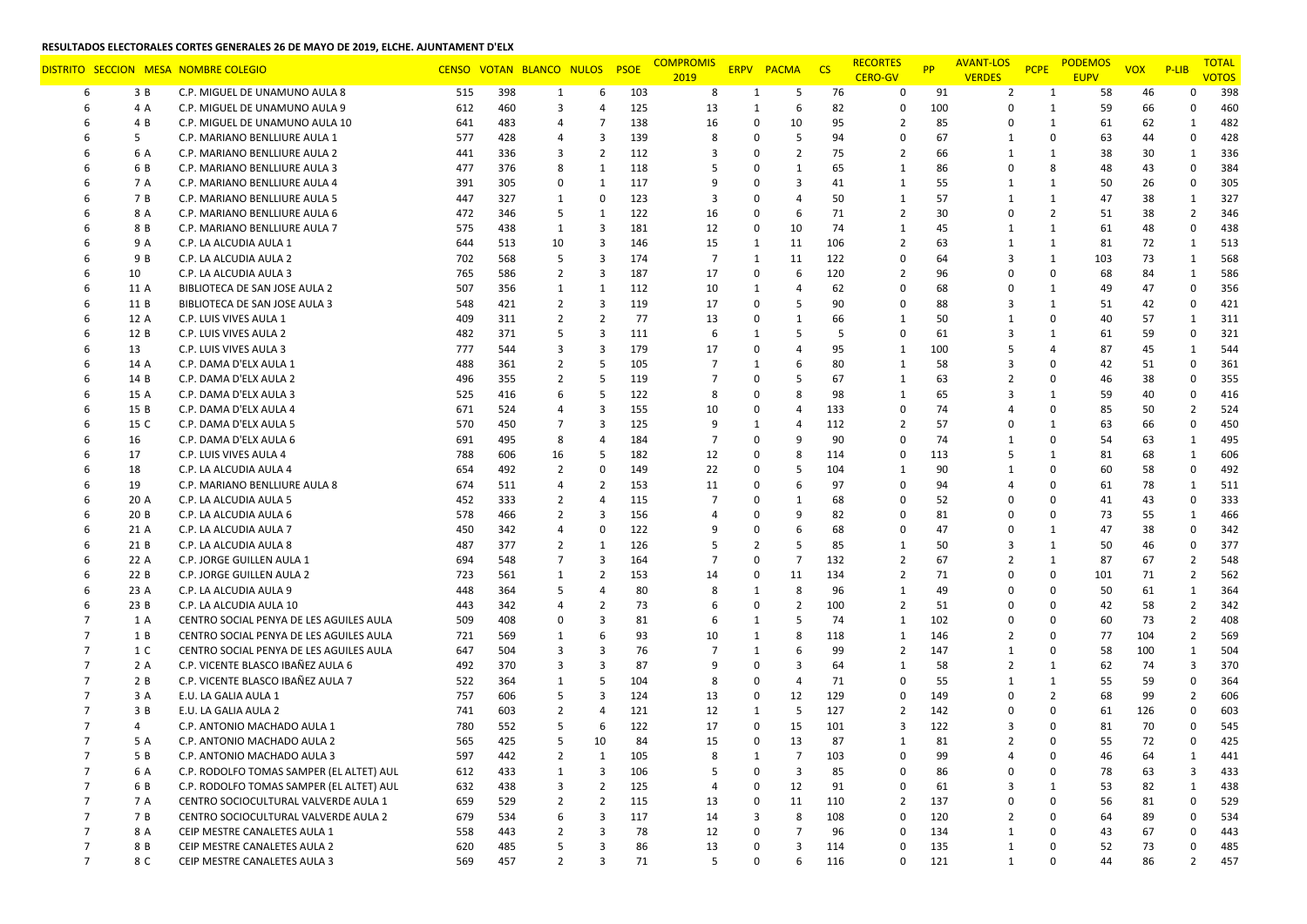|                |              | DISTRITO SECCION MESA NOMBRE COLEGIO              |            |            | CENSO VOTAN BLANCO NULOS |                     | <b>PSOE</b> | <b>COMPROMIS</b><br>2019 |             | ERPV PACMA     | $\overline{\phantom{a}}$ CS | <b>RECORTES</b><br><b>CERO-GV</b> | <b>PP</b> | <b>AVANT-LOS</b><br><b>VERDES</b> | <b>PCPE</b>    | <b>PODEMOS</b><br><b>EUPV</b> | <b>VOX</b> | $P$ -LIB                       | <b>TOTAL</b><br><b>VOTOS</b> |
|----------------|--------------|---------------------------------------------------|------------|------------|--------------------------|---------------------|-------------|--------------------------|-------------|----------------|-----------------------------|-----------------------------------|-----------|-----------------------------------|----------------|-------------------------------|------------|--------------------------------|------------------------------|
| 6              | 3 B          | C.P. MIGUEL DE UNAMUNO AULA 8                     | 515        | 398        | 1                        | 6                   | 103         | 8                        | 1           | 5              | 76                          | $\Omega$                          | 91        | $\overline{2}$                    | 1              | 58                            | 46         | o                              | 398                          |
| 6              | 4 A          | C.P. MIGUEL DE UNAMUNO AULA 9                     | 612        | 460        | 3                        | 4                   | 125         | 13                       | 1           | 6              | 82                          | $\Omega$                          | 100       | 0                                 | $\mathbf{1}$   | 59                            | 66         | $\Omega$                       | 460                          |
|                | 4 B          | C.P. MIGUEL DE UNAMUNO AULA 10                    | 641        | 483        | $\overline{4}$           | 7                   | 138         | 16                       | 0           | 10             | 95                          | $\overline{2}$                    | 85        | 0                                 | 1              | 61                            | 62         | 1                              | 482                          |
|                | 5            | C.P. MARIANO BENLLIURE AULA 1                     | 577        | 428        | 4                        | 3                   | 139         | 8                        | 0           | 5              | 94                          | $\Omega$                          | 67        | 1                                 | 0              | 63                            | 44         | 0                              | 428                          |
|                | 6 A          | C.P. MARIANO BENLLIURE AULA 2                     | 441        | 336        | 3                        | $\overline{2}$      | 112         | 3                        | $\Omega$    | $\overline{2}$ | 75                          | $\overline{2}$                    | 66        | 1                                 | $\mathbf{1}$   | 38                            | 30         | $\mathbf{1}$                   | 336                          |
|                | 6 B          | C.P. MARIANO BENLLIURE AULA 3                     | 477        | 376        | 8                        | $\mathbf{1}$        | 118         | .5                       | $\Omega$    | $\mathbf{1}$   | 65                          | $\mathbf{1}$                      | 86        | 0                                 | 8              | 48                            | 43         | $\Omega$                       | 384                          |
|                | 7 A          | C.P. MARIANO BENLLIURE AULA 4                     | 391        | 305        | 0                        | $\mathbf{1}$        | 117         | 9                        | $\Omega$    | 3              | 41                          | $\mathbf{1}$                      | 55        | 1                                 | $\mathbf{1}$   | 50                            | 26         | 0                              | 305                          |
|                | 7 B          | C.P. MARIANO BENLLIURE AULA 5                     | 447        | 327        | 1                        | $\mathbf 0$         | 123         | 3                        | $\Omega$    | $\overline{4}$ | 50                          | $\mathbf{1}$                      | 57        | 1                                 | $\mathbf{1}$   | 47                            | 38         | $\mathbf{1}$                   | 327                          |
|                | 8 A          | C.P. MARIANO BENLLIURE AULA 6                     | 472        | 346        | 5                        | 1                   | 122         | 16                       | 0           | 6              | 71                          | $\overline{2}$                    | 30        | 0                                 | $\overline{2}$ | 51                            | 38         | $\overline{2}$                 | 346                          |
|                | 8 B          | C.P. MARIANO BENLLIURE AULA 7                     | 575        | 438        | 1                        | 3                   | 181         | 12                       | 0           | 10             | 74                          | $\mathbf{1}$                      | 45        | 1                                 | $\mathbf{1}$   | 61                            | 48         | $\mathbf 0$                    | 438                          |
|                | 9 A          | C.P. LA ALCUDIA AULA 1                            | 644        | 513        | 10                       | 3                   | 146         | 15                       | 1           | 11             | 106                         | $\overline{2}$                    | 63        | 1                                 | $\mathbf{1}$   | 81                            | 72         | 1                              | 513                          |
|                | 9 B          | C.P. LA ALCUDIA AULA 2                            | 702        | 568        | 5                        | 3                   | 174         | 7                        | 1           | 11             | 122                         | $\mathbf 0$                       | 64        | 3                                 | $\mathbf{1}$   | 103                           | 73         | $\mathbf{1}$                   | 568                          |
|                | 10           | C.P. LA ALCUDIA AULA 3                            | 765        | 586        | $\overline{2}$           | 3                   | 187         | 17                       | 0           | 6              | 120                         | $\overline{2}$                    | 96        | 0                                 | 0              | 68                            | 84         | $\mathbf{1}$                   | 586                          |
|                | 11 A         | BIBLIOTECA DE SAN JOSE AULA 2                     | 507        | 356        | 1                        | 1                   | 112         | 10                       | 1           | $\overline{4}$ | 62                          | $\Omega$                          | 68        | 0                                 | $\mathbf{1}$   | 49                            | 47         | $\Omega$                       | 356                          |
| 6              | 11 B         | BIBLIOTECA DE SAN JOSE AULA 3                     | 548        | 421        | $\overline{2}$           | 3                   | 119         | 17                       | $\Omega$    | 5              | 90                          | $\mathbf 0$                       | 88        | 3                                 | $\mathbf{1}$   | 51                            | 42         | 0                              | 421                          |
|                | 12 A         | C.P. LUIS VIVES AULA 1                            | 409        | 311        | $\overline{2}$           | $\overline{2}$      | 77          | 13                       | 0           | $\mathbf{1}$   | 66                          | $\mathbf{1}$                      | 50        | 1                                 | 0              | 40                            | 57         | $\mathbf{1}$                   | 311                          |
|                | 12 B         | C.P. LUIS VIVES AULA 2                            | 482        | 371        | 5                        | 3                   | 111         | 6                        | 1           | 5              | 5                           | $\mathbf 0$                       | 61        | 3                                 | $\mathbf{1}$   | 61                            | 59         | $\Omega$                       | 321                          |
|                | 13           | C.P. LUIS VIVES AULA 3                            | 777        | 544        | 3                        | 3                   | 179         | 17                       | 0           | $\overline{4}$ | 95                          | $\mathbf{1}$                      | 100       | 5                                 | 4              | 87                            | 45         | $\mathbf{1}$                   | 544                          |
|                | 14 A         | C.P. DAMA D'ELX AULA 1                            | 488        | 361        | $\overline{2}$           | 5                   | 105         | 7                        | 1           | 6              | 80                          | 1                                 | 58        | 3                                 | 0              | 42                            | 51         | $\Omega$                       | 361                          |
|                | 14 B         | C.P. DAMA D'ELX AULA 2                            | 496        | 355        | 2                        | 5                   | 119         |                          | 0           | 5              | 67                          | 1                                 | 63        | $\overline{2}$                    | 0              | 46                            | 38         | 0                              | 355                          |
|                | 15 A         | C.P. DAMA D'ELX AULA 3                            | 525        | 416        | 6                        | 5                   | 122         | 8                        | 0           | 8              | 98                          | $\mathbf{1}$                      | 65        | 3                                 | $\mathbf{1}$   | 59                            | 40         | 0                              | 416                          |
|                | 15 B         | C.P. DAMA D'ELX AULA 4                            | 671        | 524        | $\overline{4}$           | 3                   | 155         | 10                       | 0           | $\overline{4}$ | 133                         | $\Omega$                          | 74        | 4                                 | 0              | 85                            | 50         | $\overline{2}$                 | 524                          |
|                | 15 C         | C.P. DAMA D'ELX AULA 5                            | 570        | 450        | $\overline{7}$           | 3                   | 125         | 9                        | 1           | $\overline{4}$ | 112                         | $\overline{2}$                    | 57        | 0                                 | $\mathbf{1}$   | 63                            | 66         | $\mathbf 0$                    | 450                          |
|                | 16           | C.P. DAMA D'ELX AULA 6                            | 691        | 495        | 8                        | $\overline{4}$      | 184         | 7                        | 0           | 9              | 90                          | $\Omega$                          | 74        | -1                                | $\Omega$       | 54                            | 63         | 1                              | 495                          |
|                | 17           | C.P. LUIS VIVES AULA 4                            | 788        | 606        | 16                       | 5                   | 182         | 12                       | 0           | 8              | 114                         | $\mathbf 0$                       | 113       | 5                                 | $\mathbf{1}$   | 81                            | 68         | $\mathbf{1}$                   | 606                          |
|                | 18           | C.P. LA ALCUDIA AULA 4                            | 654        | 492        | $\overline{2}$           | $\mathbf 0$         | 149         | 22                       | $\Omega$    | 5              | 104                         | 1                                 | 90        | 1                                 | $\Omega$       | 60                            | 58         | 0                              | 492                          |
|                | 19           | C.P. MARIANO BENLLIURE AULA 8                     | 674        | 511        | $\overline{4}$           | $\overline{2}$      | 153         | 11                       | $\Omega$    | 6              | 97                          | $\Omega$                          | 94        | 4                                 | 0              | 61                            | 78         | $\mathbf{1}$                   | 511                          |
|                | 20 A         | C.P. LA ALCUDIA AULA 5                            | 452        | 333        | $\overline{2}$           | 4                   | 115         | 7                        | 0           | $\mathbf{1}$   | 68                          | $\Omega$                          | 52        | $\Omega$                          | $\Omega$       | 41                            | 43         | 0                              | 333                          |
|                | 20 B         | C.P. LA ALCUDIA AULA 6                            | 578        | 466        | $\overline{2}$           | 3                   | 156         |                          | $\Omega$    | 9              | 82                          | $\Omega$                          | 81        | $\Omega$                          | $\Omega$       | 73                            | 55         | $\mathbf{1}$                   | 466                          |
|                | 21 A         | C.P. LA ALCUDIA AULA 7                            | 450        | 342        | $\overline{4}$           | 0                   | 122         |                          | 0           | 6              | 68                          | $\Omega$                          | 47        | $\Omega$                          | $\mathbf{1}$   | 47                            | 38         | $\Omega$                       | 342                          |
|                | 21 B         | C.P. LA ALCUDIA AULA 8                            | 487        | 377        | $\overline{2}$           | $\mathbf{1}$        | 126         | -5                       | 2           | 5              | 85                          | $\mathbf{1}$                      | 50        | 3                                 | $\mathbf{1}$   | 50                            | 46         | $\mathbf 0$                    | 377                          |
|                | 22 A         | C.P. JORGE GUILLEN AULA 1                         | 694        | 548        | $\overline{7}$           | 3                   | 164         | 7                        | $\Omega$    | $\overline{7}$ | 132                         | $\overline{2}$                    | 67        | 2                                 | 1              | 87                            | 67         | $\overline{2}$                 | 548                          |
| 6              | 22 B         | C.P. JORGE GUILLEN AULA 2                         | 723        | 561        | 1                        | $\overline{2}$      | 153         | 14                       | 0           | 11<br>8        | 134                         | $\overline{2}$                    | 71        | 0                                 | 0              | 101                           | 71         | $\overline{2}$                 | 562                          |
|                | 23 A<br>23 B | C.P. LA ALCUDIA AULA 9<br>C.P. LA ALCUDIA AULA 10 | 448<br>443 | 364<br>342 | 5<br>$\overline{4}$      | 4<br>$\overline{2}$ | 80<br>73    | 8                        | 1<br>0      | $\overline{2}$ | 96<br>100                   | $\mathbf{1}$<br>$\overline{2}$    | 49<br>51  | 0<br>0                            | 0<br>$\Omega$  | 50<br>42                      | 61<br>58   | $\mathbf{1}$<br>$\overline{2}$ | 364<br>342                   |
|                | 1 A          | CENTRO SOCIAL PENYA DE LES AGUILES AULA           | 509        | 408        | 0                        | 3                   | 81          | 6                        | 1           | 5              | 74                          | $\mathbf{1}$                      | 102       | $\Omega$                          | 0              | 60                            | 73         | $\overline{2}$                 | 408                          |
|                | 1 B          | CENTRO SOCIAL PENYA DE LES AGUILES AULA           | 721        | 569        | 1                        | 6                   | 93          | 10                       | 1           | 8              | 118                         | $\mathbf{1}$                      | 146       | $\overline{2}$                    | $\Omega$       | 77                            | 104        | $\overline{2}$                 | 569                          |
|                | 1 C          | CENTRO SOCIAL PENYA DE LES AGUILES AULA           | 647        | 504        | 3                        | 3                   | 76          | 7                        | 1           | 6              | 99                          | $\overline{2}$                    | 147       | 1                                 | 0              | 58                            | 100        | $\mathbf{1}$                   | 504                          |
| $\overline{ }$ | 2 A          | C.P. VICENTE BLASCO IBAÑEZ AULA 6                 | 492        | 370        | 3                        | 3                   | 87          | 9                        | $\Omega$    | $\overline{3}$ | 64                          | $\mathbf{1}$                      | 58        | $\overline{2}$                    | $\mathbf{1}$   | 62                            | 74         | $\overline{3}$                 | 370                          |
|                | 2 B          | C.P. VICENTE BLASCO IBAÑEZ AULA 7                 | 522        | 364        | 1                        | 5                   | 104         | 8                        | $\Omega$    | $\overline{4}$ | 71                          | $\Omega$                          | 55        | 1                                 | $\mathbf{1}$   | 55                            | 59         | $\Omega$                       | 364                          |
|                | 3 A          | E.U. LA GALIA AULA 1                              | 757        | 606        | 5                        | 3                   | 124         | 13                       | 0           | 12             | 129                         | $\mathbf 0$                       | 149       | 0                                 | $\overline{2}$ | 68                            | 99         | $\overline{2}$                 | 606                          |
|                | 3 B          | E.U. LA GALIA AULA 2                              | 741        | 603        | $\overline{2}$           | 4                   | 121         | 12                       | 1           | 5              | 127                         | $\overline{2}$                    | 142       | $\Omega$                          | 0              | 61                            | 126        | 0                              | 603                          |
|                | 4            | C.P. ANTONIO MACHADO AULA 1                       | 780        | 552        | 5                        | 6                   | 122         | 17                       | 0           | 15             | 101                         | 3                                 | 122       | 3                                 | 0              | 81                            | 70         | 0                              | 545                          |
| $\overline{7}$ | 5 A          | C.P. ANTONIO MACHADO AULA 2                       | 565        | 425        | 5                        | 10                  | 84          | 15                       | $\Omega$    | 13             | 87                          | $\mathbf{1}$                      | 81        | $\overline{2}$                    | $\Omega$       | 55                            | 72         | $\Omega$                       | 425                          |
| $\overline{7}$ | 5 B          | C.P. ANTONIO MACHADO AULA 3                       | 597        | 442        | $\overline{2}$           | 1                   | 105         | 8                        | 1           | $\overline{7}$ | 103                         | 0                                 | 99        | 4                                 | 0              | 46                            | 64         | 1                              | 441                          |
| $\overline{7}$ | 6 A          | C.P. RODOLFO TOMAS SAMPER (EL ALTET) AUL          | 612        | 433        | $\mathbf{1}$             | 3                   | 106         | .5                       | $\mathbf 0$ | 3              | 85                          | $\Omega$                          | 86        | 0                                 | 0              | 78                            | 63         | $\overline{\mathbf{3}}$        | 433                          |
| $\overline{7}$ | 6 B          | C.P. RODOLFO TOMAS SAMPER (EL ALTET) AUL          | 632        | 438        | 3                        | $\overline{2}$      | 125         | $\boldsymbol{A}$         | $\Omega$    | 12             | 91                          | $\mathbf 0$                       | 61        | 3                                 | $\mathbf{1}$   | 53                            | 82         | -1                             | 438                          |
| $\overline{7}$ | 7 A          | CENTRO SOCIOCULTURAL VALVERDE AULA 1              | 659        | 529        | $\overline{2}$           | $\overline{2}$      | 115         | 13                       | 0           | 11             | 110                         | $\overline{2}$                    | 137       | 0                                 | 0              | 56                            | 81         |                                | 529                          |
| $\overline{7}$ | 7 B          | CENTRO SOCIOCULTURAL VALVERDE AULA 2              | 679        | 534        | 6                        | 3                   | 117         | 14                       | 3           | 8              | 108                         | $\Omega$                          | 120       | $\overline{2}$                    | $\Omega$       | 64                            | 89         | $\Omega$                       | 534                          |
| $\overline{7}$ | 8 A          | CEIP MESTRE CANALETES AULA 1                      | 558        | 443        | $\overline{2}$           | 3                   | 78          | 12                       | 0           | $\overline{7}$ | 96                          | $\Omega$                          | 134       | 1                                 | 0              | 43                            | 67         | 0                              | 443                          |
| $\overline{7}$ | 8 B          | CEIP MESTRE CANALETES AULA 2                      | 620        | 485        | 5                        | 3                   | 86          | 13                       | 0           | 3              | 114                         | $\Omega$                          | 135       | 1                                 | 0              | 52                            | 73         | 0                              | 485                          |
| $\overline{7}$ | 8 C          | CEIP MESTRE CANALETES AULA 3                      | 569        | 457        | $\overline{2}$           | 3                   | 71          | 5                        | 0           | 6              | 116                         | 0                                 | 121       | $\mathbf{1}$                      | $\mathbf 0$    | 44                            | 86         | $\overline{2}$                 | 457                          |